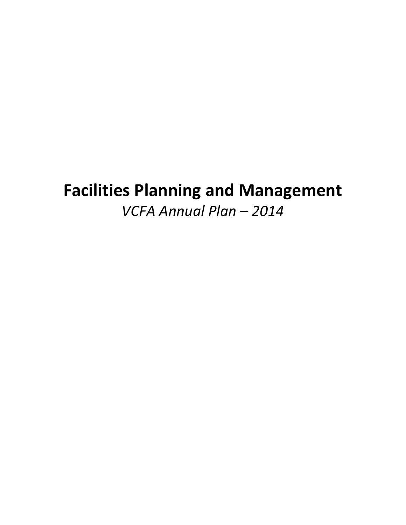# **Facilities Planning and Management**

*VCFA Annual Plan – 2014*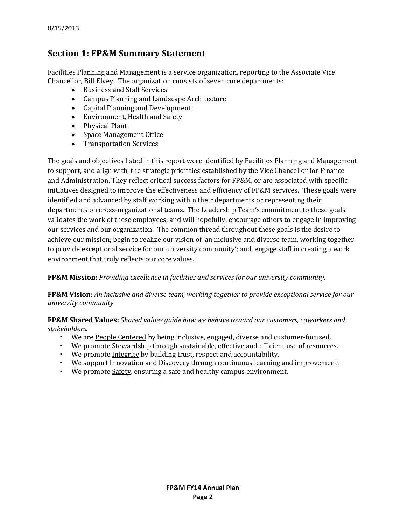# **Section 1: FP&M Summary Statement**

Facilities Planning and Management is a service organization, reporting to the Associate Vice Chancellor, Bill Elvey. The organization consists of seven core departments:

- Business and Staff Services
- Campus Planning and Landscape Architecture
- Capital Planning and Development
- Environment, Health and Safety
- Physical Plant
- Space Management Office
- Transportation Services

The goals and objectives listed in this report were identified by Facilities Planning and Management to support, and align with, the strategic priorities established by the Vice Chancellor for Finance and Administration. They reflect critical success factors for FP&M, or are associated with specific initiatives designed to improve the effectiveness and efficiency of FP&M services. These goals were identified and advanced by staff working within their departments or representing their departments on cross-organizational teams. The Leadership Team's commitment to these goals validates the work of these employees, and will hopefully, encourage others to engage in improving our services and our organization. The common thread throughout these goals is the desire to achieve our mission; begin to realize our vision of 'an inclusive and diverse team, working together to provide exceptional service for our university community'; and, engage staff in creating a work environment that truly reflects our core values.

# **FP&M Mission:** *Providing excellence in facilities and services for our university community.*

**FP&M Vision:** *An inclusive and diverse team, working together to provide exceptional service for our university community.*

**FP&M Shared Values:** *Shared values guide how we behave toward our customers, coworkers and stakeholders.*

- We are People Centered by being inclusive, engaged, diverse and customer-focused.
- We promote Stewardship through sustainable, effective and efficient use of resources.
- We promote Integrity by building trust, respect and accountability.
- We support Innovation and Discovery through continuous learning and improvement.
- We promote Safety, ensuring a safe and healthy campus environment.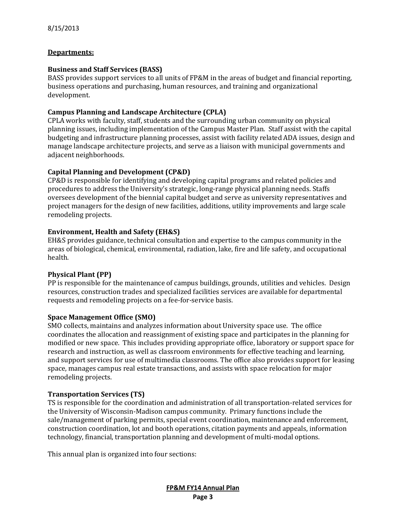## **Departments:**

## **Business and Staff Services (BASS)**

BASS provides support services to all units of FP&M in the areas of budget and financial reporting, business operations and purchasing, human resources, and training and organizational development.

## **Campus Planning and Landscape Architecture (CPLA)**

CPLA works with faculty, staff, students and the surrounding urban community on physical planning issues, including implementation of the Campus Master Plan. Staff assist with the capital budgeting and infrastructure planning processes, assist with facility related ADA issues, design and manage landscape architecture projects, and serve as a liaison with municipal governments and adjacent neighborhoods.

# **Capital Planning and Development (CP&D)**

CP&D is responsible for identifying and developing capital programs and related policies and procedures to address the University's strategic, long-range physical planning needs. Staffs oversees development of the biennial capital budget and serve as university representatives and project managers for the design of new facilities, additions, utility improvements and large scale remodeling projects.

## **Environment, Health and Safety (EH&S)**

EH&S provides guidance, technical consultation and expertise to the campus community in the areas of biological, chemical, environmental, radiation, lake, fire and life safety, and occupational health.

#### **Physical Plant (PP)**

PP is responsible for the maintenance of campus buildings, grounds, utilities and vehicles. Design resources, construction trades and specialized facilities services are available for departmental requests and remodeling projects on a fee-for-service basis.

#### **Space Management Office (SMO)**

SMO collects, maintains and analyzes information about University space use. The office coordinates the allocation and reassignment of existing space and participates in the planning for modified or new space. This includes providing appropriate office, laboratory or support space for research and instruction, as well as classroom environments for effective teaching and learning, and support services for use of multimedia classrooms. The office also provides support for leasing space, manages campus real estate transactions, and assists with space relocation for major remodeling projects.

#### **Transportation Services (TS)**

TS is responsible for the coordination and administration of all transportation-related services for the University of Wisconsin-Madison campus community. Primary functions include the sale/management of parking permits, special event coordination, maintenance and enforcement, construction coordination, lot and booth operations, citation payments and appeals, information technology, financial, transportation planning and development of multi-modal options.

This annual plan is organized into four sections: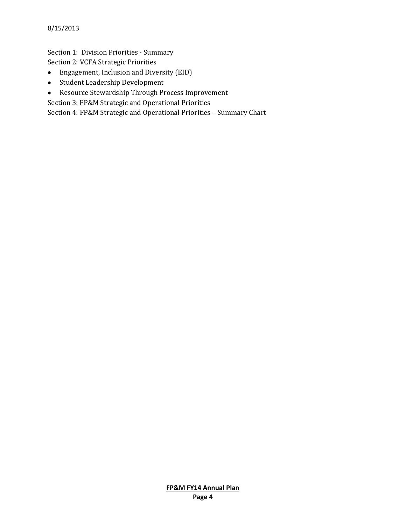Section 1: Division Priorities - Summary Section 2: VCFA Strategic Priorities

- Engagement, Inclusion and Diversity (EID)
- Student Leadership Development  $\bullet$
- Resource Stewardship Through Process Improvement  $\bullet$

Section 3: FP&M Strategic and Operational Priorities

Section 4: FP&M Strategic and Operational Priorities – Summary Chart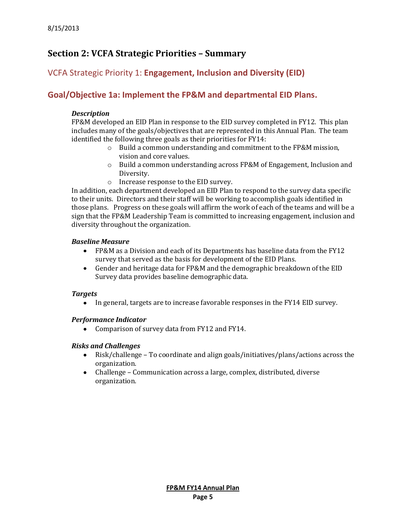# **Section 2: VCFA Strategic Priorities – Summary**

# VCFA Strategic Priority 1: **Engagement, Inclusion and Diversity (EID)**

# **Goal/Objective 1a: Implement the FP&M and departmental EID Plans.**

## *Description*

FP&M developed an EID Plan in response to the EID survey completed in FY12. This plan includes many of the goals/objectives that are represented in this Annual Plan. The team identified the following three goals as their priorities for FY14:

- o Build a common understanding and commitment to the FP&M mission, vision and core values.
- o Build a common understanding across FP&M of Engagement, Inclusion and Diversity.
- o Increase response to the EID survey.

In addition, each department developed an EID Plan to respond to the survey data specific to their units. Directors and their staff will be working to accomplish goals identified in those plans. Progress on these goals will affirm the work of each of the teams and will be a sign that the FP&M Leadership Team is committed to increasing engagement, inclusion and diversity throughout the organization.

#### *Baseline Measure*

- $\bullet$ FP&M as a Division and each of its Departments has baseline data from the FY12 survey that served as the basis for development of the EID Plans.
- $\bullet$ Gender and heritage data for FP&M and the demographic breakdown of the EID Survey data provides baseline demographic data.

# *Targets*

• In general, targets are to increase favorable responses in the FY14 EID survey.

#### *Performance Indicator*

• Comparison of survey data from FY12 and FY14.

# *Risks and Challenges*

- Risk/challenge To coordinate and align goals/initiatives/plans/actions across the organization.
- Challenge Communication across a large, complex, distributed, diverse organization.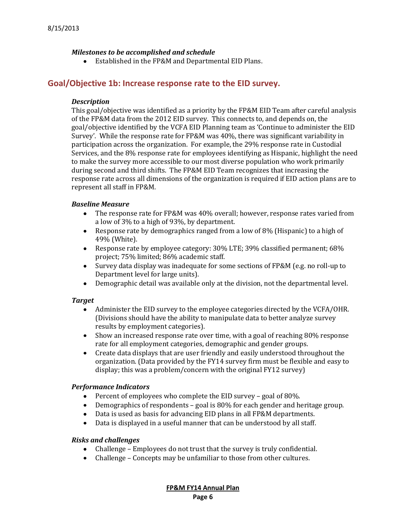## *Milestones to be accomplished and schedule*

Established in the FP&M and Departmental EID Plans.

# **Goal/Objective 1b: Increase response rate to the EID survey.**

#### *Description*

This goal/objective was identified as a priority by the FP&M EID Team after careful analysis of the FP&M data from the 2012 EID survey. This connects to, and depends on, the goal/objective identified by the VCFA EID Planning team as 'Continue to administer the EID Survey'. While the response rate for FP&M was 40%, there was significant variability in participation across the organization. For example, the 29% response rate in Custodial Services, and the 8% response rate for employees identifying as Hispanic, highlight the need to make the survey more accessible to our most diverse population who work primarily during second and third shifts. The FP&M EID Team recognizes that increasing the response rate across all dimensions of the organization is required if EID action plans are to represent all staff in FP&M.

## *Baseline Measure*

- The response rate for FP&M was 40% overall; however, response rates varied from a low of 3% to a high of 93%, by department.
- Response rate by demographics ranged from a low of 8% (Hispanic) to a high of 49% (White).
- Response rate by employee category: 30% LTE; 39% classified permanent; 68% project; 75% limited; 86% academic staff.
- Survey data display was inadequate for some sections of FP&M (e.g. no roll-up to  $\bullet$ Department level for large units).
- Demographic detail was available only at the division, not the departmental level.  $\bullet$

#### *Target*

- Administer the EID survey to the employee categories directed by the VCFA/OHR. (Divisions should have the ability to manipulate data to better analyze survey results by employment categories).
- $\bullet$ Show an increased response rate over time, with a goal of reaching 80% response rate for all employment categories, demographic and gender groups.
- $\bullet$ Create data displays that are user friendly and easily understood throughout the organization. (Data provided by the FY14 survey firm must be flexible and easy to display; this was a problem/concern with the original FY12 survey)

#### *Performance Indicators*

- Percent of employees who complete the EID survey goal of 80%.  $\bullet$
- Demographics of respondents goal is 80% for each gender and heritage group.
- Data is used as basis for advancing EID plans in all FP&M departments.  $\bullet$
- $\bullet$ Data is displayed in a useful manner that can be understood by all staff.

#### *Risks and challenges*

- Challenge Employees do not trust that the survey is truly confidential.
- Challenge Concepts may be unfamiliar to those from other cultures.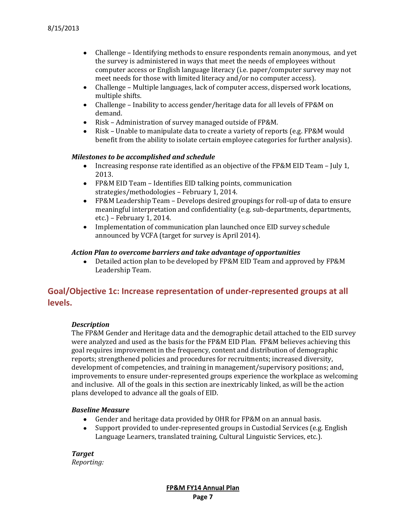- Challenge Identifying methods to ensure respondents remain anonymous, and yet the survey is administered in ways that meet the needs of employees without computer access or English language literacy (i.e. paper/computer survey may not meet needs for those with limited literacy and/or no computer access).
- Challenge Multiple languages, lack of computer access, dispersed work locations,  $\bullet$ multiple shifts.
- $\bullet$ Challenge – Inability to access gender/heritage data for all levels of FP&M on demand.
- Risk Administration of survey managed outside of FP&M.  $\bullet$
- Risk Unable to manipulate data to create a variety of reports (e.g. FP&M would benefit from the ability to isolate certain employee categories for further analysis).

#### *Milestones to be accomplished and schedule*

- Increasing response rate identified as an objective of the FP&M EID Team July 1,  $\bullet$ 2013.
- FP&M EID Team Identifies EID talking points, communication strategies/methodologies – February 1, 2014.
- FP&M Leadership Team Develops desired groupings for roll-up of data to ensure meaningful interpretation and confidentiality (e.g. sub-departments, departments, etc.) – February 1, 2014.
- Implementation of communication plan launched once EID survey schedule announced by VCFA (target for survey is April 2014).

#### *Action Plan to overcome barriers and take advantage of opportunities*

 $\bullet$ Detailed action plan to be developed by FP&M EID Team and approved by FP&M Leadership Team.

# **Goal/Objective 1c: Increase representation of under-represented groups at all levels.**

# *Description*

The FP&M Gender and Heritage data and the demographic detail attached to the EID survey were analyzed and used as the basis for the FP&M EID Plan. FP&M believes achieving this goal requires improvement in the frequency, content and distribution of demographic reports; strengthened policies and procedures for recruitments; increased diversity, development of competencies, and training in management/supervisory positions; and, improvements to ensure under-represented groups experience the workplace as welcoming and inclusive. All of the goals in this section are inextricably linked, as will be the action plans developed to advance all the goals of EID.

#### *Baseline Measure*

- Gender and heritage data provided by OHR for FP&M on an annual basis.
- $\bullet$ Support provided to under-represented groups in Custodial Services (e.g. English Language Learners, translated training, Cultural Linguistic Services, etc.).

*Target Reporting:*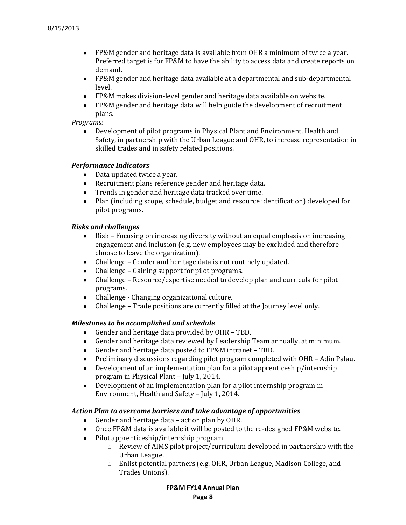- FP&M gender and heritage data is available from OHR a minimum of twice a year. Preferred target is for FP&M to have the ability to access data and create reports on demand.
- FP&M gender and heritage data available at a departmental and sub-departmental level.
- FP&M makes division-level gender and heritage data available on website.
- FP&M gender and heritage data will help guide the development of recruitment plans.

## *Programs:*

Development of pilot programs in Physical Plant and Environment, Health and Safety, in partnership with the Urban League and OHR, to increase representation in skilled trades and in safety related positions.

#### *Performance Indicators*

- Data updated twice a year.
- Recruitment plans reference gender and heritage data.
- Trends in gender and heritage data tracked over time.
- Plan (including scope, schedule, budget and resource identification) developed for pilot programs.

## *Risks and challenges*

- Risk Focusing on increasing diversity without an equal emphasis on increasing  $\bullet$ engagement and inclusion (e.g. new employees may be excluded and therefore choose to leave the organization).
- Challenge Gender and heritage data is not routinely updated.
- Challenge Gaining support for pilot programs.  $\bullet$
- Challenge Resource/expertise needed to develop plan and curricula for pilot programs.
- Challenge Changing organizational culture.
- Challenge Trade positions are currently filled at the Journey level only.  $\bullet$

#### *Milestones to be accomplished and schedule*

- Gender and heritage data provided by OHR TBD.
- Gender and heritage data reviewed by Leadership Team annually, at minimum.  $\bullet$
- $\bullet$ Gender and heritage data posted to FP&M intranet – TBD.
- Preliminary discussions regarding pilot program completed with OHR Adin Palau.  $\bullet$
- $\bullet$ Development of an implementation plan for a pilot apprenticeship/internship program in Physical Plant – July 1, 2014.
- Development of an implementation plan for a pilot internship program in  $\bullet$ Environment, Health and Safety – July 1, 2014.

#### *Action Plan to overcome barriers and take advantage of opportunities*

- Gender and heritage data action plan by OHR.  $\bullet$
- $\bullet$ Once FP&M data is available it will be posted to the re-designed FP&M website.
- Pilot apprenticeship/internship program
	- o Review of AIMS pilot project/curriculum developed in partnership with the Urban League.
	- o Enlist potential partners (e.g. OHR, Urban League, Madison College, and Trades Unions).

**FP&M FY14 Annual Plan**

**Page 8**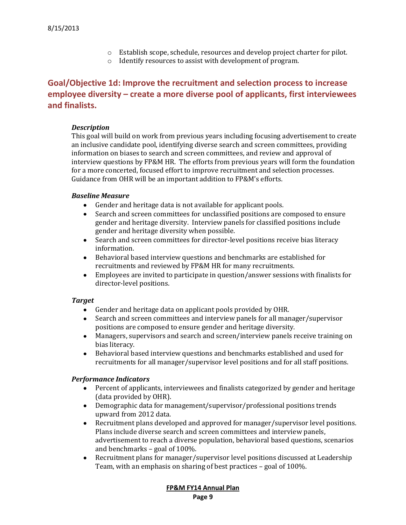- o Establish scope, schedule, resources and develop project charter for pilot.
- o Identify resources to assist with development of program.

# **Goal/Objective 1d: Improve the recruitment and selection process to increase employee diversity – create a more diverse pool of applicants, first interviewees and finalists.**

## *Description*

This goal will build on work from previous years including focusing advertisement to create an inclusive candidate pool, identifying diverse search and screen committees, providing information on biases to search and screen committees, and review and approval of interview questions by FP&M HR. The efforts from previous years will form the foundation for a more concerted, focused effort to improve recruitment and selection processes. Guidance from OHR will be an important addition to FP&M's efforts.

## *Baseline Measure*

- Gender and heritage data is not available for applicant pools.  $\bullet$
- $\bullet$ Search and screen committees for unclassified positions are composed to ensure gender and heritage diversity. Interview panels for classified positions include gender and heritage diversity when possible.
- $\bullet$ Search and screen committees for director-level positions receive bias literacy information.
- Behavioral based interview questions and benchmarks are established for recruitments and reviewed by FP&M HR for many recruitments.
- Employees are invited to participate in question/answer sessions with finalists for director-level positions.

# *Target*

- Gender and heritage data on applicant pools provided by OHR.
- Search and screen committees and interview panels for all manager/supervisor  $\bullet$ positions are composed to ensure gender and heritage diversity.
- Managers, supervisors and search and screen/interview panels receive training on  $\bullet$ bias literacy.
- $\bullet$ Behavioral based interview questions and benchmarks established and used for recruitments for all manager/supervisor level positions and for all staff positions.

# *Performance Indicators*

- $\bullet$ Percent of applicants, interviewees and finalists categorized by gender and heritage (data provided by OHR).
- Demographic data for management/supervisor/professional positions trends upward from 2012 data.
- $\bullet$ Recruitment plans developed and approved for manager/supervisor level positions. Plans include diverse search and screen committees and interview panels, advertisement to reach a diverse population, behavioral based questions, scenarios and benchmarks – goal of 100%.
- $\bullet$ Recruitment plans for manager/supervisor level positions discussed at Leadership Team, with an emphasis on sharing of best practices – goal of 100%.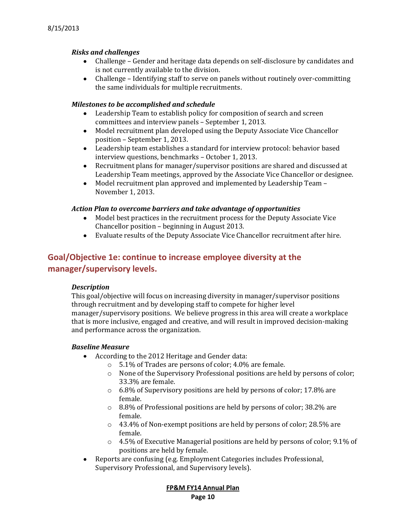## *Risks and challenges*

- Challenge Gender and heritage data depends on self-disclosure by candidates and is not currently available to the division.
- Challenge Identifying staff to serve on panels without routinely over-committing the same individuals for multiple recruitments.

## *Milestones to be accomplished and schedule*

- Leadership Team to establish policy for composition of search and screen  $\bullet$ committees and interview panels – September 1, 2013.
- Model recruitment plan developed using the Deputy Associate Vice Chancellor position – September 1, 2013.
- Leadership team establishes a standard for interview protocol: behavior based interview questions, benchmarks – October 1, 2013.
- Recruitment plans for manager/supervisor positions are shared and discussed at  $\bullet$ Leadership Team meetings, approved by the Associate Vice Chancellor or designee.
- $\bullet$ Model recruitment plan approved and implemented by Leadership Team – November 1, 2013.

#### *Action Plan to overcome barriers and take advantage of opportunities*

- Model best practices in the recruitment process for the Deputy Associate Vice  $\bullet$ Chancellor position – beginning in August 2013.
- Evaluate results of the Deputy Associate Vice Chancellor recruitment after hire.

# **Goal/Objective 1e: continue to increase employee diversity at the manager/supervisory levels.**

#### *Description*

This goal/objective will focus on increasing diversity in manager/supervisor positions through recruitment and by developing staff to compete for higher level manager/supervisory positions. We believe progress in this area will create a workplace that is more inclusive, engaged and creative, and will result in improved decision-making and performance across the organization.

# *Baseline Measure*

- According to the 2012 Heritage and Gender data:  $\bullet$ 
	- o 5.1% of Trades are persons of color; 4.0% are female.
	- $\circ$  None of the Supervisory Professional positions are held by persons of color; 33.3% are female.
	- o 6.8% of Supervisory positions are held by persons of color; 17.8% are female.
	- o 8.8% of Professional positions are held by persons of color; 38.2% are female.
	- o 43.4% of Non-exempt positions are held by persons of color; 28.5% are female.
	- $\circ$  4.5% of Executive Managerial positions are held by persons of color; 9.1% of positions are held by female.
- Reports are confusing (e.g. Employment Categories includes Professional,  $\bullet$ Supervisory Professional, and Supervisory levels).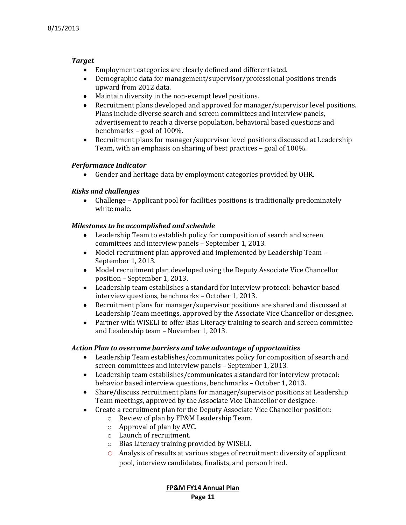# *Target*

- Employment categories are clearly defined and differentiated.
- Demographic data for management/supervisor/professional positions trends upward from 2012 data.
- Maintain diversity in the non-exempt level positions.
- $\bullet$ Recruitment plans developed and approved for manager/supervisor level positions. Plans include diverse search and screen committees and interview panels, advertisement to reach a diverse population, behavioral based questions and benchmarks – goal of 100%.
- Recruitment plans for manager/supervisor level positions discussed at Leadership  $\bullet$ Team, with an emphasis on sharing of best practices – goal of 100%.

## *Performance Indicator*

Gender and heritage data by employment categories provided by OHR.

## *Risks and challenges*

Challenge – Applicant pool for facilities positions is traditionally predominately white male.

# *Milestones to be accomplished and schedule*

- Leadership Team to establish policy for composition of search and screen  $\bullet$ committees and interview panels – September 1, 2013.
- Model recruitment plan approved and implemented by Leadership Team  $\bullet$ September 1, 2013.
- Model recruitment plan developed using the Deputy Associate Vice Chancellor  $\bullet$ position – September 1, 2013.
- $\bullet$ Leadership team establishes a standard for interview protocol: behavior based interview questions, benchmarks – October 1, 2013.
- $\bullet$ Recruitment plans for manager/supervisor positions are shared and discussed at Leadership Team meetings, approved by the Associate Vice Chancellor or designee.
- $\bullet$ Partner with WISELI to offer Bias Literacy training to search and screen committee and Leadership team – November 1, 2013.

# *Action Plan to overcome barriers and take advantage of opportunities*

- Leadership Team establishes/communicates policy for composition of search and screen committees and interview panels – September 1, 2013.
- Leadership team establishes/communicates a standard for interview protocol: behavior based interview questions, benchmarks – October 1, 2013.
- Share/discuss recruitment plans for manager/supervisor positions at Leadership  $\bullet$ Team meetings, approved by the Associate Vice Chancellor or designee.
- Create a recruitment plan for the Deputy Associate Vice Chancellor position:  $\bullet$ 
	- o Review of plan by FP&M Leadership Team.
	- o Approval of plan by AVC.
	- o Launch of recruitment.
	- o Bias Literacy training provided by WISELI.
	- o Analysis of results at various stages of recruitment: diversity of applicant pool, interview candidates, finalists, and person hired.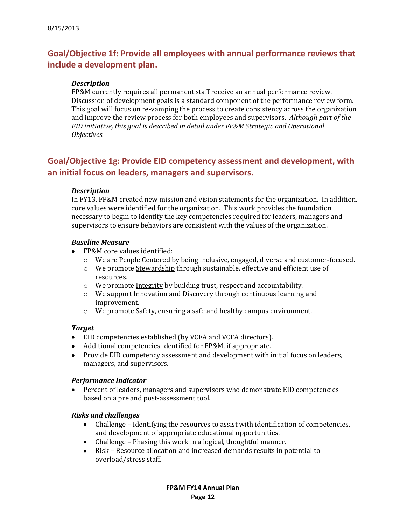# **Goal/Objective 1f: Provide all employees with annual performance reviews that include a development plan.**

## *Description*

FP&M currently requires all permanent staff receive an annual performance review. Discussion of development goals is a standard component of the performance review form. This goal will focus on re-vamping the process to create consistency across the organization and improve the review process for both employees and supervisors. *Although part of the EID initiative, this goal is described in detail under FP&M Strategic and Operational Objectives.*

# **Goal/Objective 1g: Provide EID competency assessment and development, with an initial focus on leaders, managers and supervisors.**

#### *Description*

In FY13, FP&M created new mission and vision statements for the organization. In addition, core values were identified for the organization. This work provides the foundation necessary to begin to identify the key competencies required for leaders, managers and supervisors to ensure behaviors are consistent with the values of the organization.

#### *Baseline Measure*

- FP&M core values identified:
	- o We are People Centered by being inclusive, engaged, diverse and customer-focused.
	- o We promote Stewardship through sustainable, effective and efficient use of resources.
	- o We promote Integrity by building trust, respect and accountability.
	- o We support Innovation and Discovery through continuous learning and improvement.
	- o We promote Safety, ensuring a safe and healthy campus environment.

#### *Target*

- EID competencies established (by VCFA and VCFA directors).
- Additional competencies identified for FP&M, if appropriate.
- Provide EID competency assessment and development with initial focus on leaders, managers, and supervisors.

#### *Performance Indicator*

Percent of leaders, managers and supervisors who demonstrate EID competencies based on a pre and post-assessment tool.

#### *Risks and challenges*

- Challenge Identifying the resources to assist with identification of competencies,  $\bullet$ and development of appropriate educational opportunities.
- Challenge Phasing this work in a logical, thoughtful manner.  $\bullet$
- $\bullet$ Risk – Resource allocation and increased demands results in potential to overload/stress staff.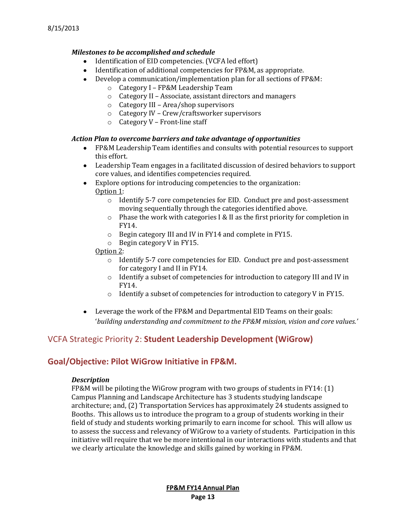# *Milestones to be accomplished and schedule*

- Identification of EID competencies. (VCFA led effort)
- Identification of additional competencies for FP&M, as appropriate.
- Develop a communication/implementation plan for all sections of FP&M:
	- o Category I FP&M Leadership Team
	- o Category II Associate, assistant directors and managers
	- o Category III Area/shop supervisors
	- o Category IV Crew/craftsworker supervisors
	- o Category V Front-line staff

## *Action Plan to overcome barriers and take advantage of opportunities*

- FP&M Leadership Team identifies and consults with potential resources to support this effort.
- Leadership Team engages in a facilitated discussion of desired behaviors to support core values, and identifies competencies required.
- Explore options for introducing competencies to the organization:  $\bullet$ Option 1:
	- o Identify 5-7 core competencies for EID. Conduct pre and post-assessment moving sequentially through the categories identified above.
	- o Phase the work with categories I & II as the first priority for completion in FY14.
	- o Begin category III and IV in FY14 and complete in FY15.
	- o Begin category V in FY15.
	- Option 2:
		- o Identify 5-7 core competencies for EID. Conduct pre and post-assessment for category I and II in FY14.
		- o Identify a subset of competencies for introduction to category III and IV in FY14.
		- $\circ$  Identify a subset of competencies for introduction to category V in FY15.
- Leverage the work of the FP&M and Departmental EID Teams on their goals: '*building understanding and commitment to the FP&M mission, vision and core values.'*

# VCFA Strategic Priority 2: **Student Leadership Development (WiGrow)**

# **Goal/Objective: Pilot WiGrow Initiative in FP&M.**

#### *Description*

FP&M will be piloting the WiGrow program with two groups of students in FY14: (1) Campus Planning and Landscape Architecture has 3 students studying landscape architecture; and, (2) Transportation Services has approximately 24 students assigned to Booths. This allows us to introduce the program to a group of students working in their field of study and students working primarily to earn income for school. This will allow us to assess the success and relevancy of WiGrow to a variety of students. Participation in this initiative will require that we be more intentional in our interactions with students and that we clearly articulate the knowledge and skills gained by working in FP&M.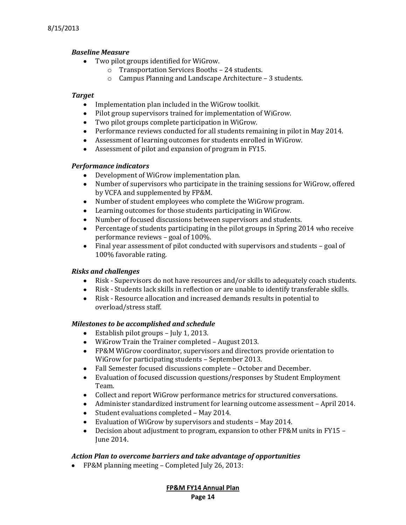# *Baseline Measure*

- Two pilot groups identified for WiGrow.
	- o Transportation Services Booths 24 students.
	- o Campus Planning and Landscape Architecture 3 students.

# *Target*

- $\bullet$ Implementation plan included in the WiGrow toolkit.
- Pilot group supervisors trained for implementation of WiGrow.
- Two pilot groups complete participation in WiGrow.
- Performance reviews conducted for all students remaining in pilot in May 2014.
- Assessment of learning outcomes for students enrolled in WiGrow.
- Assessment of pilot and expansion of program in FY15.

# *Performance indicators*

- Development of WiGrow implementation plan.
- Number of supervisors who participate in the training sessions for WiGrow, offered  $\bullet$ by VCFA and supplemented by FP&M.
- Number of student employees who complete the WiGrow program.
- $\bullet$ Learning outcomes for those students participating in WiGrow.
- Number of focused discussions between supervisors and students.  $\bullet$
- $\bullet$ Percentage of students participating in the pilot groups in Spring 2014 who receive performance reviews – goal of 100%.
- Final year assessment of pilot conducted with supervisors and students goal of  $\bullet$ 100% favorable rating.

# *Risks and challenges*

- $\bullet$ Risk - Supervisors do not have resources and/or skills to adequately coach students.
- Risk Students lack skills in reflection or are unable to identify transferable skills.  $\bullet$
- $\bullet$ Risk - Resource allocation and increased demands results in potential to overload/stress staff.

# *Milestones to be accomplished and schedule*

- Establish pilot groups July 1, 2013.  $\bullet$
- WiGrow Train the Trainer completed August 2013.
- FP&M WiGrow coordinator, supervisors and directors provide orientation to WiGrow for participating students – September 2013.
- Fall Semester focused discussions complete October and December.
- Evaluation of focused discussion questions/responses by Student Employment Team.
- Collect and report WiGrow performance metrics for structured conversations.
- Administer standardized instrument for learning outcome assessment April 2014.
- Student evaluations completed May 2014.
- $\bullet$ Evaluation of WiGrow by supervisors and students – May 2014.
- Decision about adjustment to program, expansion to other FP&M units in FY15  $\bullet$ June 2014.

# *Action Plan to overcome barriers and take advantage of opportunities*

• FP&M planning meeting – Completed July 26, 2013:

**FP&M FY14 Annual Plan Page 14**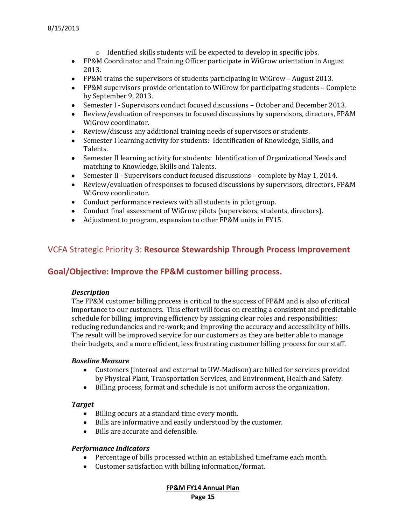- o Identified skills students will be expected to develop in specific jobs.
- FP&M Coordinator and Training Officer participate in WiGrow orientation in August 2013.
- FP&M trains the supervisors of students participating in WiGrow August 2013.
- FP&M supervisors provide orientation to WiGrow for participating students Complete by September 9, 2013.
- Semester I Supervisors conduct focused discussions October and December 2013.
- Review/evaluation of responses to focused discussions by supervisors, directors, FP&M WiGrow coordinator.
- Review/discuss any additional training needs of supervisors or students.
- Semester I learning activity for students: Identification of Knowledge, Skills, and Talents.
- Semester II learning activity for students: Identification of Organizational Needs and matching to Knowledge, Skills and Talents.
- Semester II Supervisors conduct focused discussions complete by May 1, 2014.
- Review/evaluation of responses to focused discussions by supervisors, directors, FP&M WiGrow coordinator.
- Conduct performance reviews with all students in pilot group.
- Conduct final assessment of WiGrow pilots (supervisors, students, directors).
- Adjustment to program, expansion to other FP&M units in FY15.

# VCFA Strategic Priority 3: **Resource Stewardship Through Process Improvement**

# **Goal/Objective: Improve the FP&M customer billing process.**

# *Description*

The FP&M customer billing process is critical to the success of FP&M and is also of critical importance to our customers. This effort will focus on creating a consistent and predictable schedule for billing; improving efficiency by assigning clear roles and responsibilities; reducing redundancies and re-work; and improving the accuracy and accessibility of bills. The result will be improved service for our customers as they are better able to manage their budgets, and a more efficient, less frustrating customer billing process for our staff.

#### *Baseline Measure*

- Customers (internal and external to UW-Madison) are billed for services provided  $\bullet$ by Physical Plant, Transportation Services, and Environment, Health and Safety.
- Billing process, format and schedule is not uniform across the organization.

# *Target*

- Billing occurs at a standard time every month.
- Bills are informative and easily understood by the customer.  $\bullet$
- Bills are accurate and defensible.  $\bullet$

# *Performance Indicators*

- Percentage of bills processed within an established timeframe each month.
- Customer satisfaction with billing information/format. $\bullet$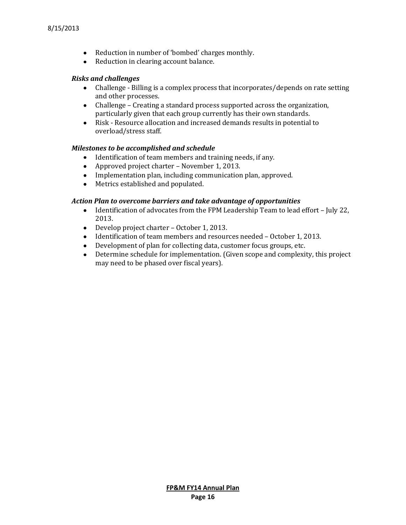- Reduction in number of 'bombed' charges monthly.
- Reduction in clearing account balance.

#### *Risks and challenges*

- Challenge Billing is a complex process that incorporates/depends on rate setting and other processes.
- Challenge Creating a standard process supported across the organization, particularly given that each group currently has their own standards.
- Risk Resource allocation and increased demands results in potential to overload/stress staff.

#### *Milestones to be accomplished and schedule*

- Identification of team members and training needs, if any.
- Approved project charter November 1, 2013.
- Implementation plan, including communication plan, approved.
- Metrics established and populated.

#### *Action Plan to overcome barriers and take advantage of opportunities*

- Identification of advocates from the FPM Leadership Team to lead effort July 22, 2013.
- Develop project charter October 1, 2013.
- Identification of team members and resources needed October 1, 2013.
- $\bullet$ Development of plan for collecting data, customer focus groups, etc.
- Determine schedule for implementation. (Given scope and complexity, this project  $\bullet$ may need to be phased over fiscal years).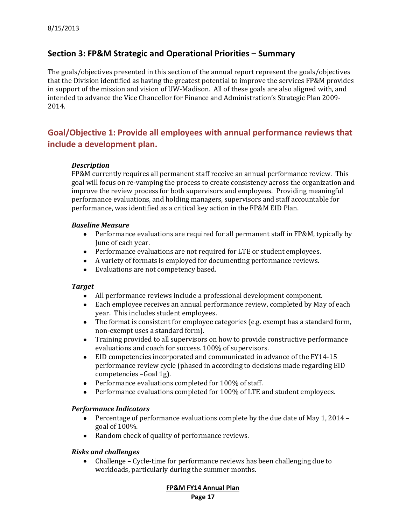# **Section 3: FP&M Strategic and Operational Priorities – Summary**

The goals/objectives presented in this section of the annual report represent the goals/objectives that the Division identified as having the greatest potential to improve the services FP&M provides in support of the mission and vision of UW-Madison. All of these goals are also aligned with, and intended to advance the Vice Chancellor for Finance and Administration's Strategic Plan 2009- 2014.

# **Goal/Objective 1: Provide all employees with annual performance reviews that include a development plan.**

#### *Description*

FP&M currently requires all permanent staff receive an annual performance review. This goal will focus on re-vamping the process to create consistency across the organization and improve the review process for both supervisors and employees. Providing meaningful performance evaluations, and holding managers, supervisors and staff accountable for performance, was identified as a critical key action in the FP&M EID Plan.

#### *Baseline Measure*

- Performance evaluations are required for all permanent staff in FP&M, typically by June of each year.
- Performance evaluations are not required for LTE or student employees.
- A variety of formats is employed for documenting performance reviews.
- Evaluations are not competency based.  $\bullet$

#### *Target*

- All performance reviews include a professional development component.
- Each employee receives an annual performance review, completed by May of each year. This includes student employees.
- The format is consistent for employee categories (e.g. exempt has a standard form,  $\bullet$ non-exempt uses a standard form).
- Training provided to all supervisors on how to provide constructive performance evaluations and coach for success. 100% of supervisors.
- EID competencies incorporated and communicated in advance of the FY14-15  $\bullet$ performance review cycle (phased in according to decisions made regarding EID competencies –Goal 1g).
- Performance evaluations completed for 100% of staff.
- Performance evaluations completed for 100% of LTE and student employees.  $\bullet$

#### *Performance Indicators*

- Percentage of performance evaluations complete by the due date of May 1, 2014  $\bullet$ goal of 100%.
- Random check of quality of performance reviews.

#### *Risks and challenges*

Challenge – Cycle-time for performance reviews has been challenging due to  $\bullet$ workloads, particularly during the summer months.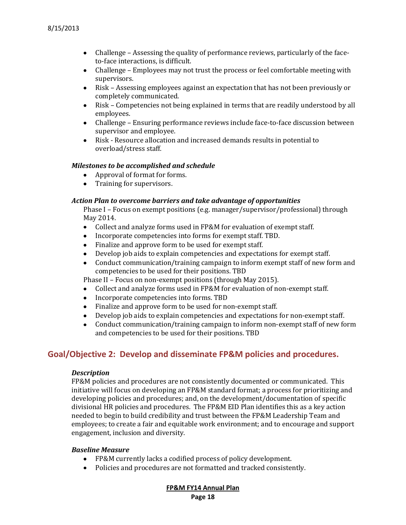- Challenge Assessing the quality of performance reviews, particularly of the faceto-face interactions, is difficult.
- $\bullet$ Challenge – Employees may not trust the process or feel comfortable meeting with supervisors.
- $\bullet$ Risk – Assessing employees against an expectation that has not been previously or completely communicated.
- $\bullet$ Risk – Competencies not being explained in terms that are readily understood by all employees.
- Challenge Ensuring performance reviews include face-to-face discussion between supervisor and employee.
- Risk Resource allocation and increased demands results in potential to  $\bullet$ overload/stress staff.

#### *Milestones to be accomplished and schedule*

- Approval of format for forms.
- Training for supervisors.

#### *Action Plan to overcome barriers and take advantage of opportunities*

Phase I – Focus on exempt positions (e.g. manager/supervisor/professional) through May 2014.

- Collect and analyze forms used in FP&M for evaluation of exempt staff.
- Incorporate competencies into forms for exempt staff. TBD.
- Finalize and approve form to be used for exempt staff.
- Develop job aids to explain competencies and expectations for exempt staff.
- Conduct communication/training campaign to inform exempt staff of new form and  $\bullet$ competencies to be used for their positions. TBD

Phase II – Focus on non-exempt positions (through May 2015).

- Collect and analyze forms used in FP&M for evaluation of non-exempt staff.
- $\bullet$ Incorporate competencies into forms. TBD
- Finalize and approve form to be used for non-exempt staff.
- Develop job aids to explain competencies and expectations for non-exempt staff.  $\bullet$
- $\bullet$ Conduct communication/training campaign to inform non-exempt staff of new form and competencies to be used for their positions. TBD

# **Goal/Objective 2: Develop and disseminate FP&M policies and procedures.**

#### *Description*

FP&M policies and procedures are not consistently documented or communicated. This initiative will focus on developing an FP&M standard format; a process for prioritizing and developing policies and procedures; and, on the development/documentation of specific divisional HR policies and procedures. The FP&M EID Plan identifies this as a key action needed to begin to build credibility and trust between the FP&M Leadership Team and employees; to create a fair and equitable work environment; and to encourage and support engagement, inclusion and diversity.

#### *Baseline Measure*

- FP&M currently lacks a codified process of policy development.
- Policies and procedures are not formatted and tracked consistently.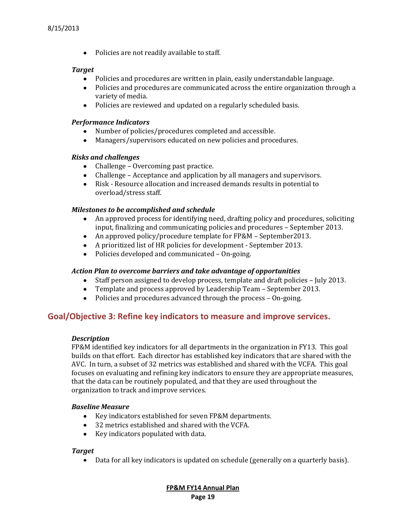• Policies are not readily available to staff.

## *Target*

- Policies and procedures are written in plain, easily understandable language.
- Policies and procedures are communicated across the entire organization through a variety of media.
- Policies are reviewed and updated on a regularly scheduled basis.

## *Performance Indicators*

- Number of policies/procedures completed and accessible.
- Managers/supervisors educated on new policies and procedures.  $\bullet$

# *Risks and challenges*

- Challenge Overcoming past practice.
- Challenge Acceptance and application by all managers and supervisors.
- Risk Resource allocation and increased demands results in potential to  $\bullet$ overload/stress staff.

# *Milestones to be accomplished and schedule*

- An approved process for identifying need, drafting policy and procedures, soliciting  $\bullet$ input, finalizing and communicating policies and procedures – September 2013.
- An approved policy/procedure template for FP&M September2013.
- A prioritized list of HR policies for development September 2013.
- Policies developed and communicated On-going.

# *Action Plan to overcome barriers and take advantage of opportunities*

- $\bullet$ Staff person assigned to develop process, template and draft policies – July 2013.
- Template and process approved by Leadership Team September 2013.  $\bullet$
- Policies and procedures advanced through the process On-going.

# **Goal/Objective 3: Refine key indicators to measure and improve services.**

# *Description*

FP&M identified key indicators for all departments in the organization in FY13. This goal builds on that effort. Each director has established key indicators that are shared with the AVC. In turn, a subset of 32 metrics was established and shared with the VCFA. This goal focuses on evaluating and refining key indicators to ensure they are appropriate measures, that the data can be routinely populated, and that they are used throughout the organization to track and improve services.

# *Baseline Measure*

- Key indicators established for seven FP&M departments.
- 32 metrics established and shared with the VCFA.
- Key indicators populated with data.

# *Target*

Data for all key indicators is updated on schedule (generally on a quarterly basis).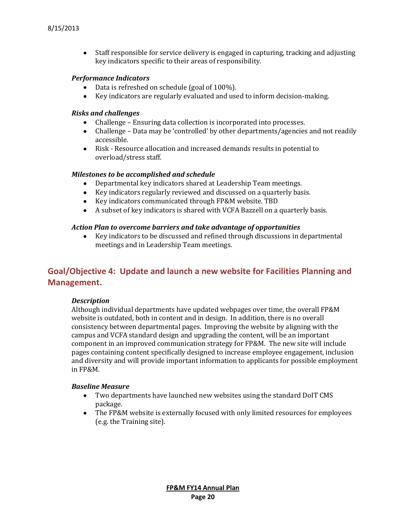• Staff responsible for service delivery is engaged in capturing, tracking and adjusting key indicators specific to their areas of responsibility.

#### *Performance Indicators*

- Data is refreshed on schedule (goal of 100%).
- Key indicators are regularly evaluated and used to inform decision-making.

#### *Risks and challenges*

- Challenge Ensuring data collection is incorporated into processes.
- Challenge Data may be 'controlled' by other departments/agencies and not readily accessible.
- Risk Resource allocation and increased demands results in potential to overload/stress staff.

#### *Milestones to be accomplished and schedule*

- Departmental key indicators shared at Leadership Team meetings.  $\bullet$
- Key indicators regularly reviewed and discussed on a quarterly basis.
- Key indicators communicated through FP&M website. TBD
- A subset of key indicators is shared with VCFA Bazzell on a quarterly basis.

#### *Action Plan to overcome barriers and take advantage of opportunities*

 $\bullet$ Key indicators to be discussed and refined through discussions in departmental meetings and in Leadership Team meetings.

# **Goal/Objective 4: Update and launch a new website for Facilities Planning and Management.**

#### *Description*

Although individual departments have updated webpages over time, the overall FP&M website is outdated, both in content and in design. In addition, there is no overall consistency between departmental pages. Improving the website by aligning with the campus and VCFA standard design and upgrading the content, will be an important component in an improved communication strategy for FP&M. The new site will include pages containing content specifically designed to increase employee engagement, inclusion and diversity and will provide important information to applicants for possible employment in FP&M.

#### *Baseline Measure*

- Two departments have launched new websites using the standard DoIT CMS package.
- The FP&M website is externally focused with only limited resources for employees (e.g. the Training site).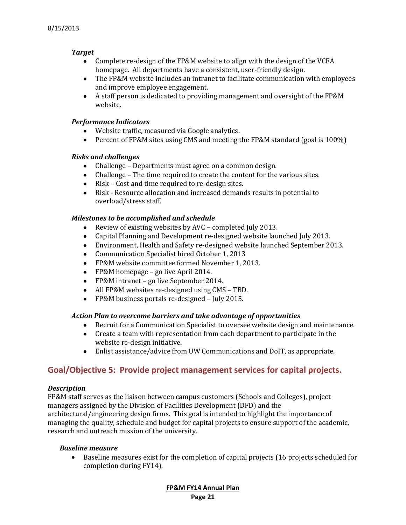# *Target*

- Complete re-design of the FP&M website to align with the design of the VCFA homepage. All departments have a consistent, user-friendly design.
- The FP&M website includes an intranet to facilitate communication with employees and improve employee engagement.
- A staff person is dedicated to providing management and oversight of the FP&M website.

## *Performance Indicators*

- Website traffic, measured via Google analytics.
- Percent of FP&M sites using CMS and meeting the FP&M standard (goal is 100%)

## *Risks and challenges*

- Challenge Departments must agree on a common design.
- Challenge The time required to create the content for the various sites.
- Risk Cost and time required to re-design sites.
- Risk Resource allocation and increased demands results in potential to overload/stress staff.

## *Milestones to be accomplished and schedule*

- Review of existing websites by AVC completed July 2013.  $\bullet$
- Capital Planning and Development re-designed website launched July 2013.
- Environment, Health and Safety re-designed website launched September 2013.  $\bullet$
- Communication Specialist hired October 1, 2013  $\bullet$
- $\bullet$ FP&M website committee formed November 1, 2013.
- FP&M homepage go live April 2014.
- FP&M intranet go live September 2014.
- All FP&M websites re-designed using CMS TBD.
- FP&M business portals re-designed July 2015.  $\bullet$

#### *Action Plan to overcome barriers and take advantage of opportunities*

- Recruit for a Communication Specialist to oversee website design and maintenance.
- Create a team with representation from each department to participate in the website re-design initiative.
- Enlist assistance/advice from UW Communications and DoIT, as appropriate.

# **Goal/Objective 5: Provide project management services for capital projects.**

#### *Description*

FP&M staff serves as the liaison between campus customers (Schools and Colleges), project managers assigned by the Division of Facilities Development (DFD) and the architectural/engineering design firms. This goal is intended to highlight the importance of managing the quality, schedule and budget for capital projects to ensure support of the academic, research and outreach mission of the university.

#### *Baseline measure*

Baseline measures exist for the completion of capital projects (16 projects scheduled for  $\bullet$ completion during FY14).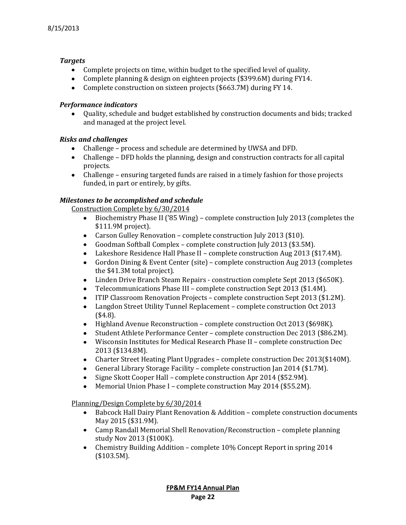# *Targets*

- Complete projects on time, within budget to the specified level of quality.
- Complete planning & design on eighteen projects (\$399.6M) during FY14.
- Complete construction on sixteen projects (\$663.7M) during FY 14.

## *Performance indicators*

Quality, schedule and budget established by construction documents and bids; tracked and managed at the project level.

# *Risks and challenges*

- Challenge process and schedule are determined by UWSA and DFD.
- Challenge DFD holds the planning, design and construction contracts for all capital projects.
- Challenge ensuring targeted funds are raised in a timely fashion for those projects funded, in part or entirely, by gifts.

# *Milestones to be accomplished and schedule*

Construction Complete by 6/30/2014

- Biochemistry Phase II ('85 Wing) complete construction July 2013 (completes the  $\bullet$ \$111.9M project).
- Carson Gulley Renovation complete construction July 2013 (\$10).
- Goodman Softball Complex complete construction July 2013 (\$3.5M).  $\bullet$
- Lakeshore Residence Hall Phase II complete construction Aug 2013 (\$17.4M).  $\bullet$
- Gordon Dining & Event Center (site) complete construction Aug 2013 (completes  $\bullet$ the \$41.3M total project).
- $\bullet$ Linden Drive Branch Steam Repairs - construction complete Sept 2013 (\$650K).
- Telecommunications Phase III complete construction Sept 2013 (\$1.4M).
- ITIP Classroom Renovation Projects complete construction Sept 2013 (\$1.2M).  $\bullet$
- Langdon Street Utility Tunnel Replacement complete construction Oct 2013  $\bullet$ (\$4.8).
- Highland Avenue Reconstruction complete construction Oct 2013 (\$698K).  $\bullet$
- Student Athlete Performance Center complete construction Dec 2013 (\$86.2M).  $\bullet$
- $\bullet$ Wisconsin Institutes for Medical Research Phase II – complete construction Dec 2013 (\$134.8M).
- $\bullet$ Charter Street Heating Plant Upgrades – complete construction Dec 2013(\$140M).
- General Library Storage Facility complete construction Jan 2014 (\$1.7M).  $\bullet$
- Signe Skott Cooper Hall complete construction Apr 2014 (\$52.9M).  $\bullet$
- Memorial Union Phase I complete construction May 2014 (\$55.2M).  $\bullet$

# Planning/Design Complete by 6/30/2014

- Babcock Hall Dairy Plant Renovation & Addition complete construction documents May 2015 (\$31.9M).
- Camp Randall Memorial Shell Renovation/Reconstruction complete planning study Nov 2013 (\$100K).
- Chemistry Building Addition complete 10% Concept Report in spring 2014  $\bullet$ (\$103.5M).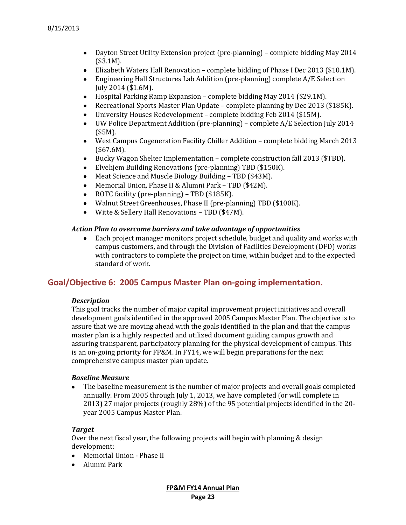- Dayton Street Utility Extension project (pre-planning) complete bidding May 2014 (\$3.1M).
- Elizabeth Waters Hall Renovation complete bidding of Phase I Dec 2013 (\$10.1M).
- Engineering Hall Structures Lab Addition (pre-planning) complete A/E Selection  $\bullet$ July 2014 (\$1.6M).
- Hospital Parking Ramp Expansion complete bidding May 2014 (\$29.1M).
- Recreational Sports Master Plan Update complete planning by Dec 2013 (\$185K).
- University Houses Redevelopment complete bidding Feb 2014 (\$15M).  $\bullet$
- UW Police Department Addition (pre-planning) complete A/E Selection July 2014  $\bullet$ (\$5M).
- West Campus Cogeneration Facility Chiller Addition complete bidding March 2013  $\bullet$ (\$67.6M).
- Bucky Wagon Shelter Implementation complete construction fall 2013 (\$TBD).  $\bullet$
- Elvehjem Building Renovations (pre-planning) TBD (\$150K).  $\bullet$
- Meat Science and Muscle Biology Building TBD (\$43M).  $\bullet$
- Memorial Union, Phase II & Alumni Park TBD (\$42M).  $\bullet$
- $\bullet$ ROTC facility (pre-planning) – TBD (\$185K).
- $\bullet$ Walnut Street Greenhouses, Phase II (pre-planning) TBD (\$100K).
- Witte & Sellery Hall Renovations TBD (\$47M).  $\bullet$

#### *Action Plan to overcome barriers and take advantage of opportunities*

Each project manager monitors project schedule, budget and quality and works with  $\bullet$ campus customers, and through the Division of Facilities Development (DFD) works with contractors to complete the project on time, within budget and to the expected standard of work.

# **Goal/Objective 6: 2005 Campus Master Plan on-going implementation.**

#### *Description*

This goal tracks the number of major capital improvement project initiatives and overall development goals identified in the approved 2005 Campus Master Plan. The objective is to assure that we are moving ahead with the goals identified in the plan and that the campus master plan is a highly respected and utilized document guiding campus growth and assuring transparent, participatory planning for the physical development of campus. This is an on-going priority for FP&M. In FY14, we will begin preparations for the next comprehensive campus master plan update.

#### *Baseline Measure*

The baseline measurement is the number of major projects and overall goals completed  $\bullet$ annually. From 2005 through July 1, 2013, we have completed (or will complete in 2013) 27 major projects (roughly 28%) of the 95 potential projects identified in the 20 year 2005 Campus Master Plan.

#### *Target*

Over the next fiscal year, the following projects will begin with planning & design development:

- Memorial Union Phase II
- Alumni Park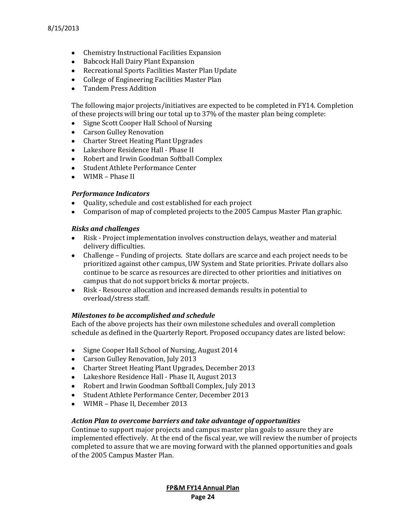- Chemistry Instructional Facilities Expansion
- Babcock Hall Dairy Plant Expansion
- Recreational Sports Facilities Master Plan Update
- College of Engineering Facilities Master Plan
- Tandem Press Addition

The following major projects/initiatives are expected to be completed in FY14. Completion of these projects will bring our total up to 37% of the master plan being complete:

- Signe Scott Cooper Hall School of Nursing  $\bullet$
- Carson Gulley Renovation
- Charter Street Heating Plant Upgrades
- Lakeshore Residence Hall Phase II
- Robert and Irwin Goodman Softball Complex
- Student Athlete Performance Center
- WIMR Phase II

#### *Performance Indicators*

- Quality, schedule and cost established for each project
- Comparison of map of completed projects to the 2005 Campus Master Plan graphic.

#### *Risks and challenges*

- Risk Project implementation involves construction delays, weather and material delivery difficulties.
- Challenge Funding of projects. State dollars are scarce and each project needs to be prioritized against other campus, UW System and State priorities. Private dollars also continue to be scarce as resources are directed to other priorities and initiatives on campus that do not support bricks & mortar projects.
- Risk Resource allocation and increased demands results in potential to overload/stress staff.

#### *Milestones to be accomplished and schedule*

Each of the above projects has their own milestone schedules and overall completion schedule as defined in the Quarterly Report. Proposed occupancy dates are listed below:

- Signe Cooper Hall School of Nursing, August 2014
- Carson Gulley Renovation, July 2013
- Charter Street Heating Plant Upgrades, December 2013
- Lakeshore Residence Hall Phase II, August 2013
- Robert and Irwin Goodman Softball Complex, July 2013
- Student Athlete Performance Center, December 2013
- WIMR Phase II, December 2013

#### *Action Plan to overcome barriers and take advantage of opportunities*

Continue to support major projects and campus master plan goals to assure they are implemented effectively. At the end of the fiscal year, we will review the number of projects completed to assure that we are moving forward with the planned opportunities and goals of the 2005 Campus Master Plan.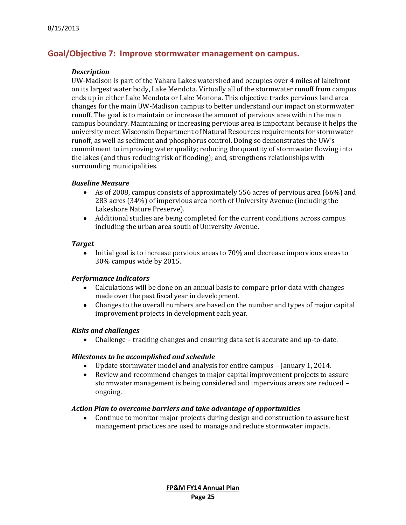# **Goal/Objective 7: Improve stormwater management on campus.**

#### *Description*

UW-Madison is part of the Yahara Lakes watershed and occupies over 4 miles of lakefront on its largest water body, Lake Mendota. Virtually all of the stormwater runoff from campus ends up in either Lake Mendota or Lake Monona. This objective tracks pervious land area changes for the main UW-Madison campus to better understand our impact on stormwater runoff. The goal is to maintain or increase the amount of pervious area within the main campus boundary. Maintaining or increasing pervious area is important because it helps the university meet Wisconsin Department of Natural Resources requirements for stormwater runoff, as well as sediment and phosphorus control. Doing so demonstrates the UW's commitment to improving water quality; reducing the quantity of stormwater flowing into the lakes (and thus reducing risk of flooding); and, strengthens relationships with surrounding municipalities.

#### *Baseline Measure*

- As of 2008, campus consists of approximately 556 acres of pervious area (66%) and  $\bullet$ 283 acres (34%) of impervious area north of University Avenue (including the Lakeshore Nature Preserve).
- Additional studies are being completed for the current conditions across campus including the urban area south of University Avenue.

#### *Target*

Initial goal is to increase pervious areas to 70% and decrease impervious areas to  $\bullet$ 30% campus wide by 2015.

#### *Performance Indicators*

- $\bullet$ Calculations will be done on an annual basis to compare prior data with changes made over the past fiscal year in development.
- Changes to the overall numbers are based on the number and types of major capital  $\bullet$ improvement projects in development each year.

#### *Risks and challenges*

 $\bullet$ Challenge – tracking changes and ensuring data set is accurate and up-to-date.

#### *Milestones to be accomplished and schedule*

- Update stormwater model and analysis for entire campus January 1, 2014.  $\bullet$
- $\bullet$ Review and recommend changes to major capital improvement projects to assure stormwater management is being considered and impervious areas are reduced – ongoing.

#### *Action Plan to overcome barriers and take advantage of opportunities*

 $\bullet$ Continue to monitor major projects during design and construction to assure best management practices are used to manage and reduce stormwater impacts.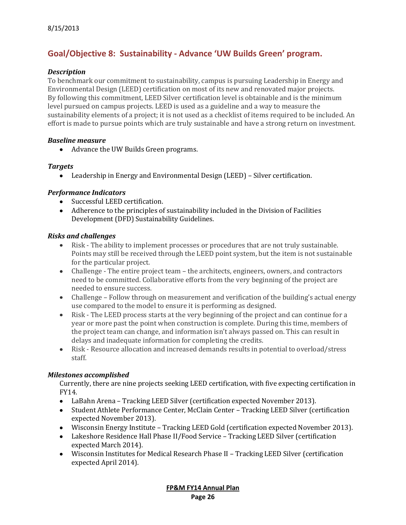# **Goal/Objective 8: Sustainability - Advance 'UW Builds Green' program.**

## *Description*

To benchmark our commitment to sustainability, campus is pursuing Leadership in Energy and Environmental Design (LEED) certification on most of its new and renovated major projects. By following this commitment, LEED Silver certification level is obtainable and is the minimum level pursued on campus projects. LEED is used as a guideline and a way to measure the sustainability elements of a project; it is not used as a checklist of items required to be included. An effort is made to pursue points which are truly sustainable and have a strong return on investment.

## *Baseline measure*

Advance the UW Builds Green programs.

## *Targets*

Leadership in Energy and Environmental Design (LEED) – Silver certification.

## *Performance Indicators*

- Successful LEED certification.
- Adherence to the principles of sustainability included in the Division of Facilities Development (DFD) Sustainability Guidelines.

## *Risks and challenges*

- Risk The ability to implement processes or procedures that are not truly sustainable. Points may still be received through the LEED point system, but the item is not sustainable for the particular project.
- Challenge The entire project team the architects, engineers, owners, and contractors need to be committed. Collaborative efforts from the very beginning of the project are needed to ensure success.
- Challenge Follow through on measurement and verification of the building's actual energy use compared to the model to ensure it is performing as designed.
- Risk The LEED process starts at the very beginning of the project and can continue for a year or more past the point when construction is complete. During this time, members of the project team can change, and information isn't always passed on. This can result in delays and inadequate information for completing the credits.
- Risk Resource allocation and increased demands results in potential to overload/stress staff.

# *Milestones accomplished*

Currently, there are nine projects seeking LEED certification, with five expecting certification in FY14.

- LaBahn Arena Tracking LEED Silver (certification expected November 2013).  $\bullet$
- Student Athlete Performance Center, McClain Center Tracking LEED Silver (certification expected November 2013).
- Wisconsin Energy Institute Tracking LEED Gold (certification expected November 2013).
- Lakeshore Residence Hall Phase II/Food Service Tracking LEED Silver (certification expected March 2014).
- Wisconsin Institutes for Medical Research Phase II Tracking LEED Silver (certification expected April 2014).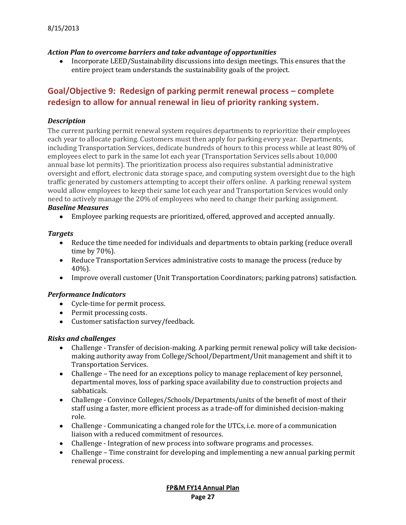## *Action Plan to overcome barriers and take advantage of opportunities*

Incorporate LEED/Sustainability discussions into design meetings. This ensures that the entire project team understands the sustainability goals of the project.

# **Goal/Objective 9: Redesign of parking permit renewal process – complete redesign to allow for annual renewal in lieu of priority ranking system.**

# *Description*

The current parking permit renewal system requires departments to reprioritize their employees each year to allocate parking. Customers must then apply for parking every year. Departments, including Transportation Services, dedicate hundreds of hours to this process while at least 80% of employees elect to park in the same lot each year (Transportation Services sells about 10,000 annual base lot permits). The prioritization process also requires substantial administrative oversight and effort, electronic data storage space, and computing system oversight due to the high traffic generated by customers attempting to accept their offers online. A parking renewal system would allow employees to keep their same lot each year and Transportation Services would only need to actively manage the 20% of employees who need to change their parking assignment. *Baseline Measures* 

Employee parking requests are prioritized, offered, approved and accepted annually.

## *Targets*

- $\bullet$ Reduce the time needed for individuals and departments to obtain parking (reduce overall time by 70%).
- Reduce Transportation Services administrative costs to manage the process (reduce by 40%).
- Improve overall customer (Unit Transportation Coordinators; parking patrons) satisfaction.

# *Performance Indicators*

- Cycle-time for permit process.
- Permit processing costs.
- Customer satisfaction survey/feedback.

# *Risks and challenges*

- $\bullet$ Challenge - Transfer of decision-making. A parking permit renewal policy will take decisionmaking authority away from College/School/Department/Unit management and shift it to Transportation Services.
- Challenge The need for an exceptions policy to manage replacement of key personnel, departmental moves, loss of parking space availability due to construction projects and sabbaticals.
- Challenge Convince Colleges/Schools/Departments/units of the benefit of most of their staff using a faster, more efficient process as a trade-off for diminished decision-making role.
- Challenge Communicating a changed role for the UTCs, i.e. more of a communication liaison with a reduced commitment of resources.
- Challenge Integration of new process into software programs and processes.
- Challenge Time constraint for developing and implementing a new annual parking permit renewal process.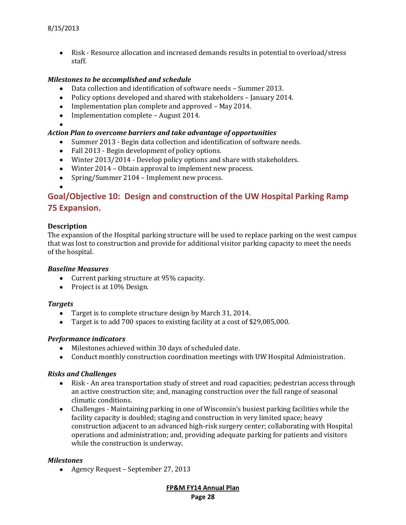• Risk - Resource allocation and increased demands results in potential to overload/stress staff.

#### *Milestones to be accomplished and schedule*

- Data collection and identification of software needs Summer 2013.  $\bullet$
- Policy options developed and shared with stakeholders January 2014.
- Implementation plan complete and approved May 2014.
- Implementation complete August 2014.
- 

# *Action Plan to overcome barriers and take advantage of opportunities*

- Summer 2013 Begin data collection and identification of software needs.
- Fall 2013 Begin development of policy options.
- Winter 2013/2014 Develop policy options and share with stakeholders.
- Winter 2014 Obtain approval to implement new process.
- Spring/Summer 2104 Implement new process.

# **Goal/Objective 10: Design and construction of the UW Hospital Parking Ramp 75 Expansion.**

## **Description**

The expansion of the Hospital parking structure will be used to replace parking on the west campus that was lost to construction and provide for additional visitor parking capacity to meet the needs of the hospital.

#### *Baseline Measures*

- Current parking structure at 95% capacity.
- Project is at 10% Design.

#### *Targets*

- Target is to complete structure design by March 31, 2014.  $\bullet$
- Target is to add 700 spaces to existing facility at a cost of \$29,085,000.

#### *Performance indicators*

- Milestones achieved within 30 days of scheduled date.
- Conduct monthly construction coordination meetings with UW Hospital Administration.

#### *Risks and Challenges*

- $\bullet$ Risk - An area transportation study of street and road capacities; pedestrian access through an active construction site; and, managing construction over the full range of seasonal climatic conditions.
- Challenges Maintaining parking in one of Wisconsin's busiest parking facilities while the facility capacity is doubled; staging and construction in very limited space; heavy construction adjacent to an advanced high-risk surgery center; collaborating with Hospital operations and administration; and, providing adequate parking for patients and visitors while the construction is underway.

#### *Milestones*

Agency Request – September 27, 2013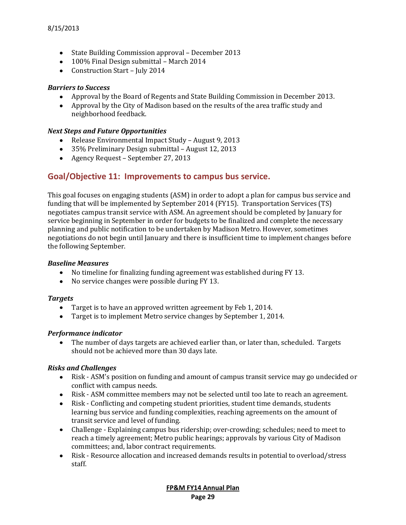- State Building Commission approval December 2013
- 100% Final Design submittal March 2014
- Construction Start July 2014

## *Barriers to Success*

- Approval by the Board of Regents and State Building Commission in December 2013.
- Approval by the City of Madison based on the results of the area traffic study and neighborhood feedback.

#### *Next Steps and Future Opportunities*

- Release Environmental Impact Study August 9, 2013
- 35% Preliminary Design submittal August 12, 2013
- Agency Request September 27, 2013

# **Goal/Objective 11: Improvements to campus bus service.**

This goal focuses on engaging students (ASM) in order to adopt a plan for campus bus service and funding that will be implemented by September 2014 (FY15). Transportation Services (TS) negotiates campus transit service with ASM. An agreement should be completed by January for service beginning in September in order for budgets to be finalized and complete the necessary planning and public notification to be undertaken by Madison Metro. However, sometimes negotiations do not begin until January and there is insufficient time to implement changes before the following September.

#### *Baseline Measures*

- No timeline for finalizing funding agreement was established during FY 13.
- No service changes were possible during FY 13.

#### *Targets*

- Target is to have an approved written agreement by Feb 1, 2014.
- Target is to implement Metro service changes by September 1, 2014.

#### *Performance indicator*

The number of days targets are achieved earlier than, or later than, scheduled. Targets should not be achieved more than 30 days late.

# *Risks and Challenges*

- Risk ASM's position on funding and amount of campus transit service may go undecided or  $\bullet$ conflict with campus needs.
- Risk ASM committee members may not be selected until too late to reach an agreement.
- Risk Conflicting and competing student priorities, student time demands, students learning bus service and funding complexities, reaching agreements on the amount of transit service and level of funding.
- Challenge Explaining campus bus ridership; over-crowding; schedules; need to meet to reach a timely agreement; Metro public hearings; approvals by various City of Madison committees; and, labor contract requirements.
- $\bullet$ Risk - Resource allocation and increased demands results in potential to overload/stress staff.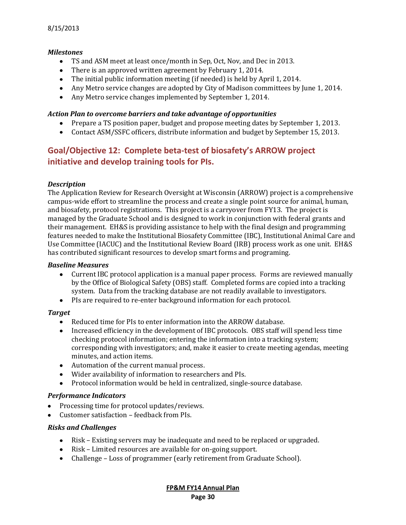## *Milestones*

- $\bullet$ TS and ASM meet at least once/month in Sep, Oct, Nov, and Dec in 2013.
- There is an approved written agreement by February 1, 2014.
- The initial public information meeting (if needed) is held by April 1, 2014.
- Any Metro service changes are adopted by City of Madison committees by June 1, 2014.
- Any Metro service changes implemented by September 1, 2014.

#### *Action Plan to overcome barriers and take advantage of opportunities*

- Prepare a TS position paper, budget and propose meeting dates by September 1, 2013.
- Contact ASM/SSFC officers, distribute information and budget by September 15, 2013.

# **Goal/Objective 12: Complete beta-test of biosafety's ARROW project initiative and develop training tools for PIs.**

## *Description*

The Application Review for Research Oversight at Wisconsin (ARROW) project is a comprehensive campus-wide effort to streamline the process and create a single point source for animal, human, and biosafety, protocol registrations. This project is a carryover from FY13. The project is managed by the Graduate School and is designed to work in conjunction with federal grants and their management. EH&S is providing assistance to help with the final design and programming features needed to make the Institutional Biosafety Committee (IBC), Institutional Animal Care and Use Committee (IACUC) and the Institutional Review Board (IRB) process work as one unit. EH&S has contributed significant resources to develop smart forms and programing.

#### *Baseline Measures*

- Current IBC protocol application is a manual paper process. Forms are reviewed manually by the Office of Biological Safety (OBS) staff. Completed forms are copied into a tracking system. Data from the tracking database are not readily available to investigators.
- PIs are required to re-enter background information for each protocol.

#### *Target*

- Reduced time for PIs to enter information into the ARROW database.  $\bullet$
- Increased efficiency in the development of IBC protocols. OBS staff will spend less time checking protocol information; entering the information into a tracking system; corresponding with investigators; and, make it easier to create meeting agendas, meeting minutes, and action items.
- Automation of the current manual process.
- Wider availability of information to researchers and PIs.
- Protocol information would be held in centralized, single-source database.

#### *Performance Indicators*

- Processing time for protocol updates/reviews.
- Customer satisfaction feedback from PIs.

#### *Risks and Challenges*

- Risk Existing servers may be inadequate and need to be replaced or upgraded.
- Risk Limited resources are available for on-going support.
- Challenge Loss of programmer (early retirement from Graduate School).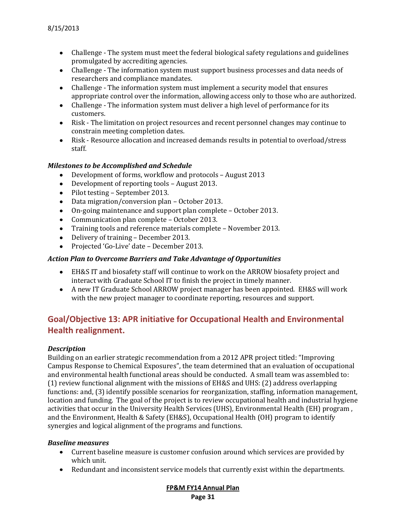- Challenge The system must meet the federal biological safety regulations and guidelines promulgated by accrediting agencies.
- Challenge The information system must support business processes and data needs of researchers and compliance mandates.
- Challenge The information system must implement a security model that ensures appropriate control over the information, allowing access only to those who are authorized.
- Challenge The information system must deliver a high level of performance for its customers.
- Risk The limitation on project resources and recent personnel changes may continue to constrain meeting completion dates.
- Risk Resource allocation and increased demands results in potential to overload/stress staff.

# *Milestones to be Accomplished and Schedule*

- Development of forms, workflow and protocols August 2013
- Development of reporting tools August 2013.
- Pilot testing September 2013.
- Data migration/conversion plan October 2013.
- On-going maintenance and support plan complete October 2013.
- Communication plan complete October 2013.
- Training tools and reference materials complete November 2013.
- Delivery of training December 2013.
- Projected 'Go-Live' date December 2013.

# *Action Plan to Overcome Barriers and Take Advantage of Opportunities*

- EH&S IT and biosafety staff will continue to work on the ARROW biosafety project and interact with Graduate School IT to finish the project in timely manner.
- A new IT Graduate School ARROW project manager has been appointed. EH&S will work with the new project manager to coordinate reporting, resources and support.

# **Goal/Objective 13: APR initiative for Occupational Health and Environmental Health realignment.**

# *Description*

Building on an earlier strategic recommendation from a 2012 APR project titled: "Improving Campus Response to Chemical Exposures", the team determined that an evaluation of occupational and environmental health functional areas should be conducted. A small team was assembled to: (1) review functional alignment with the missions of EH&S and UHS: (2) address overlapping functions: and, (3) identify possible scenarios for reorganization, staffing, information management, location and funding. The goal of the project is to review occupational health and industrial hygiene activities that occur in the University Health Services (UHS), Environmental Health (EH) program , and the Environment, Health & Safety (EH&S), Occupational Health (OH) program to identify synergies and logical alignment of the programs and functions.

# *Baseline measures*

- Current baseline measure is customer confusion around which services are provided by which unit.
- Redundant and inconsistent service models that currently exist within the departments.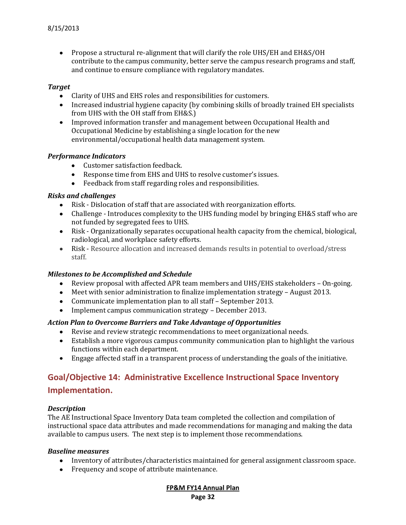• Propose a structural re-alignment that will clarify the role UHS/EH and EH&S/OH contribute to the campus community, better serve the campus research programs and staff, and continue to ensure compliance with regulatory mandates.

#### *Target*

- Clarity of UHS and EHS roles and responsibilities for customers.
- Increased industrial hygiene capacity (by combining skills of broadly trained EH specialists from UHS with the OH staff from EH&S.)
- Improved information transfer and management between Occupational Health and Occupational Medicine by establishing a single location for the new environmental/occupational health data management system.

## *Performance Indicators*

- Customer satisfaction feedback.
- Response time from EHS and UHS to resolve customer's issues.
- Feedback from staff regarding roles and responsibilities.

## *Risks and challenges*

- Risk Dislocation of staff that are associated with reorganization efforts.
- Challenge Introduces complexity to the UHS funding model by bringing EH&S staff who are not funded by segregated fees to UHS.
- Risk Organizationally separates occupational health capacity from the chemical, biological, radiological, and workplace safety efforts.
- Risk Resource allocation and increased demands results in potential to overload/stress staff.

#### *Milestones to be Accomplished and Schedule*

- Review proposal with affected APR team members and UHS/EHS stakeholders On-going.
- Meet with senior administration to finalize implementation strategy August 2013.
- Communicate implementation plan to all staff September 2013.
- Implement campus communication strategy December 2013.

# *Action Plan to Overcome Barriers and Take Advantage of Opportunities*

- Revise and review strategic recommendations to meet organizational needs.
- Establish a more vigorous campus community communication plan to highlight the various functions within each department.
- Engage affected staff in a transparent process of understanding the goals of the initiative.

# **Goal/Objective 14: Administrative Excellence Instructional Space Inventory**

# **Implementation.**

# *Description*

The AE Instructional Space Inventory Data team completed the collection and compilation of instructional space data attributes and made recommendations for managing and making the data available to campus users. The next step is to implement those recommendations.

#### *Baseline measures*

- Inventory of attributes/characteristics maintained for general assignment classroom space.
- Frequency and scope of attribute maintenance.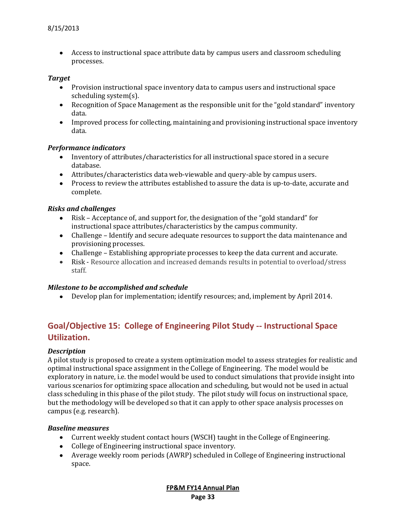Access to instructional space attribute data by campus users and classroom scheduling processes.

#### *Target*

- Provision instructional space inventory data to campus users and instructional space scheduling system(s).
- Recognition of Space Management as the responsible unit for the "gold standard" inventory data.
- Improved process for collecting, maintaining and provisioning instructional space inventory data.

## *Performance indicators*

- Inventory of attributes/characteristics for all instructional space stored in a secure database.
- Attributes/characteristics data web-viewable and query-able by campus users.
- Process to review the attributes established to assure the data is up-to-date, accurate and complete.

## *Risks and challenges*

- Risk Acceptance of, and support for, the designation of the "gold standard" for instructional space attributes/characteristics by the campus community.
- Challenge Identify and secure adequate resources to support the data maintenance and provisioning processes.
- Challenge Establishing appropriate processes to keep the data current and accurate.
- Risk Resource allocation and increased demands results in potential to overload/stress staff.

#### *Milestone to be accomplished and schedule*

Develop plan for implementation; identify resources; and, implement by April 2014.

# **Goal/Objective 15: College of Engineering Pilot Study -- Instructional Space Utilization.**

#### *Description*

A pilot study is proposed to create a system optimization model to assess strategies for realistic and optimal instructional space assignment in the College of Engineering. The model would be exploratory in nature, i.e. the model would be used to conduct simulations that provide insight into various scenarios for optimizing space allocation and scheduling, but would not be used in actual class scheduling in this phase of the pilot study. The pilot study will focus on instructional space, but the methodology will be developed so that it can apply to other space analysis processes on campus (e.g. research).

#### *Baseline measures*

- Current weekly student contact hours (WSCH) taught in the College of Engineering.
- College of Engineering instructional space inventory.
- Average weekly room periods (AWRP) scheduled in College of Engineering instructional space.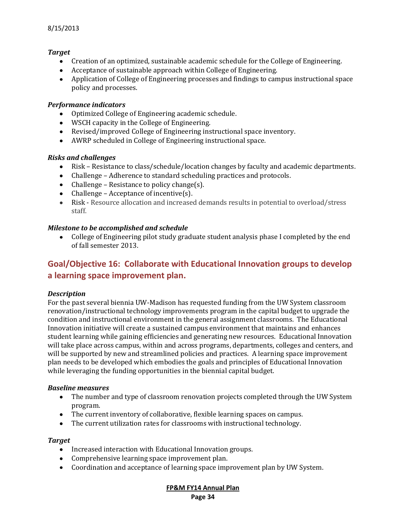# *Target*

- Creation of an optimized, sustainable academic schedule for the College of Engineering.
- Acceptance of sustainable approach within College of Engineering.
- Application of College of Engineering processes and findings to campus instructional space policy and processes.

## *Performance indicators*

- Optimized College of Engineering academic schedule.
- WSCH capacity in the College of Engineering.
- Revised/improved College of Engineering instructional space inventory.
- AWRP scheduled in College of Engineering instructional space.

## *Risks and challenges*

- Risk Resistance to class/schedule/location changes by faculty and academic departments.
- Challenge Adherence to standard scheduling practices and protocols.
- Challenge Resistance to policy change $(s)$ .
- Challenge Acceptance of incentive $(s)$ .
- Risk Resource allocation and increased demands results in potential to overload/stress staff.

## *Milestone to be accomplished and schedule*

College of Engineering pilot study graduate student analysis phase I completed by the end  $\bullet$ of fall semester 2013.

# **Goal/Objective 16: Collaborate with Educational Innovation groups to develop a learning space improvement plan.**

#### *Description*

For the past several biennia UW-Madison has requested funding from the UW System classroom renovation/instructional technology improvements program in the capital budget to upgrade the condition and instructional environment in the general assignment classrooms. The Educational Innovation initiative will create a sustained campus environment that maintains and enhances student learning while gaining efficiencies and generating new resources. Educational Innovation will take place across campus, within and across programs, departments, colleges and centers, and will be supported by new and streamlined policies and practices. A learning space improvement plan needs to be developed which embodies the goals and principles of Educational Innovation while leveraging the funding opportunities in the biennial capital budget.

#### *Baseline measures*

- The number and type of classroom renovation projects completed through the UW System program.
- The current inventory of collaborative, flexible learning spaces on campus.
- The current utilization rates for classrooms with instructional technology.

#### *Target*

- Increased interaction with Educational Innovation groups.
- Comprehensive learning space improvement plan.
- Coordination and acceptance of learning space improvement plan by UW System.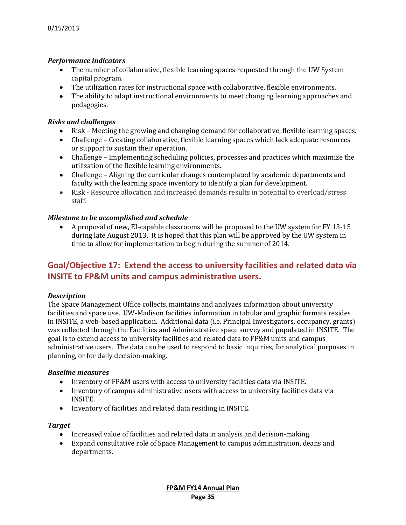## *Performance indicators*

- The number of collaborative, flexible learning spaces requested through the UW System capital program.
- The utilization rates for instructional space with collaborative, flexible environments.
- The ability to adapt instructional environments to meet changing learning approaches and pedagogies.

#### *Risks and challenges*

- Risk Meeting the growing and changing demand for collaborative, flexible learning spaces.
- Challenge Creating collaborative, flexible learning spaces which lack adequate resources or support to sustain their operation.
- Challenge Implementing scheduling policies, processes and practices which maximize the utilization of the flexible learning environments.
- Challenge Aligning the curricular changes contemplated by academic departments and faculty with the learning space inventory to identify a plan for development.
- Risk Resource allocation and increased demands results in potential to overload/stress staff.

## *Milestone to be accomplished and schedule*

A proposal of new, EI-capable classrooms will be proposed to the UW system for FY 13-15 during late August 2013. It is hoped that this plan will be approved by the UW system in time to allow for implementation to begin during the summer of 2014.

# **Goal/Objective 17: Extend the access to university facilities and related data via INSITE to FP&M units and campus administrative users.**

#### *Description*

The Space Management Office collects, maintains and analyzes information about university facilities and space use. UW-Madison facilities information in tabular and graphic formats resides in INSITE, a web-based application. Additional data (i.e. Principal Investigators, occupancy, grants) was collected through the Facilities and Administrative space survey and populated in INSITE. The goal is to extend access to university facilities and related data to FP&M units and campus administrative users. The data can be used to respond to basic inquiries, for analytical purposes in planning, or for daily decision-making.

#### *Baseline measures*

- $\bullet$ Inventory of FP&M users with access to university facilities data via INSITE.
- Inventory of campus administrative users with access to university facilities data via INSITE.
- Inventory of facilities and related data residing in INSITE.

#### *Target*

- Increased value of facilities and related data in analysis and decision-making.
- Expand consultative role of Space Management to campus administration, deans and departments.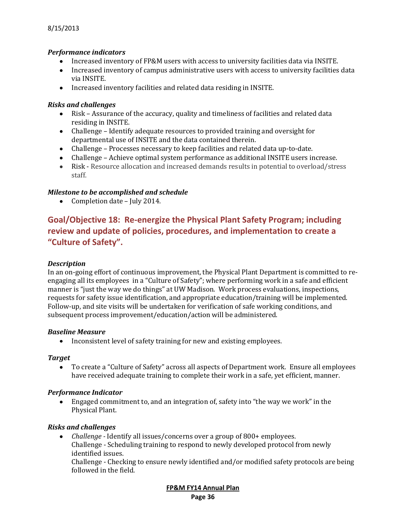# *Performance indicators*

- Increased inventory of FP&M users with access to university facilities data via INSITE.
- Increased inventory of campus administrative users with access to university facilities data via INSITE.
- Increased inventory facilities and related data residing in INSITE.

## *Risks and challenges*

- Risk Assurance of the accuracy, quality and timeliness of facilities and related data residing in INSITE.
- Challenge Identify adequate resources to provided training and oversight for departmental use of INSITE and the data contained therein.
- Challenge Processes necessary to keep facilities and related data up-to-date.
- Challenge Achieve optimal system performance as additional INSITE users increase.
- Risk Resource allocation and increased demands results in potential to overload/stress staff.

## *Milestone to be accomplished and schedule*

Completion date – July 2014.  $\bullet$ 

# **Goal/Objective 18: Re-energize the Physical Plant Safety Program; including review and update of policies, procedures, and implementation to create a "Culture of Safety".**

#### *Description*

In an on-going effort of continuous improvement, the Physical Plant Department is committed to reengaging all its employees in a "Culture of Safety"; where performing work in a safe and efficient manner is "just the way we do things" at UW Madison. Work process evaluations, inspections, requests for safety issue identification, and appropriate education/training will be implemented. Follow-up, and site visits will be undertaken for verification of safe working conditions, and subsequent process improvement/education/action will be administered.

#### *Baseline Measure*

• Inconsistent level of safety training for new and existing employees.

#### *Target*

To create a "Culture of Safety" across all aspects of Department work. Ensure all employees  $\bullet$ have received adequate training to complete their work in a safe, yet efficient, manner.

#### *Performance Indicator*

Engaged commitment to, and an integration of, safety into "the way we work" in the Physical Plant.

#### *Risks and challenges*

*Challenge -* Identify all issues/concerns over a group of 800+ employees.  $\bullet$ Challenge - Scheduling training to respond to newly developed protocol from newly identified issues.

Challenge - Checking to ensure newly identified and/or modified safety protocols are being followed in the field.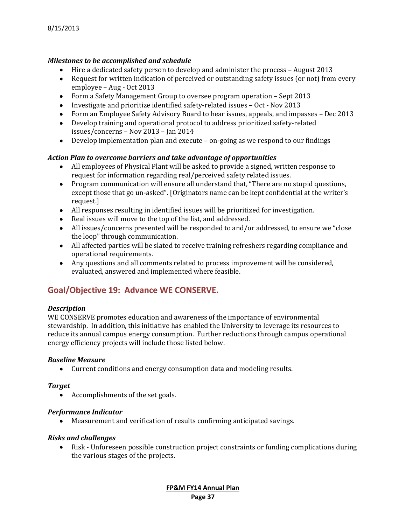# *Milestones to be accomplished and schedule*

- Hire a dedicated safety person to develop and administer the process August 2013
- Request for written indication of perceived or outstanding safety issues (or not) from every employee – Aug - Oct 2013
- Form a Safety Management Group to oversee program operation Sept 2013
- Investigate and prioritize identified safety-related issues Oct Nov 2013
- Form an Employee Safety Advisory Board to hear issues, appeals, and impasses Dec 2013
- Develop training and operational protocol to address prioritized safety-related issues/concerns – Nov 2013 – Jan 2014
- Develop implementation plan and execute on-going as we respond to our findings

## *Action Plan to overcome barriers and take advantage of opportunities*

- All employees of Physical Plant will be asked to provide a signed, written response to request for information regarding real/perceived safety related issues.
- Program communication will ensure all understand that, "There are no stupid questions, except those that go un-asked". [Originators name can be kept confidential at the writer's request.]
- All responses resulting in identified issues will be prioritized for investigation.
- Real issues will move to the top of the list, and addressed.
- All issues/concerns presented will be responded to and/or addressed, to ensure we "close the loop" through communication.
- All affected parties will be slated to receive training refreshers regarding compliance and operational requirements.
- Any questions and all comments related to process improvement will be considered, evaluated, answered and implemented where feasible.

# **Goal/Objective 19: Advance WE CONSERVE.**

#### *Description*

WE CONSERVE promotes education and awareness of the importance of environmental stewardship. In addition, this initiative has enabled the University to leverage its resources to reduce its annual campus energy consumption. Further reductions through campus operational energy efficiency projects will include those listed below.

#### *Baseline Measure*

Current conditions and energy consumption data and modeling results.

#### *Target*

• Accomplishments of the set goals.

#### *Performance Indicator*

Measurement and verification of results confirming anticipated savings.

#### *Risks and challenges*

Risk - Unforeseen possible construction project constraints or funding complications during the various stages of the projects.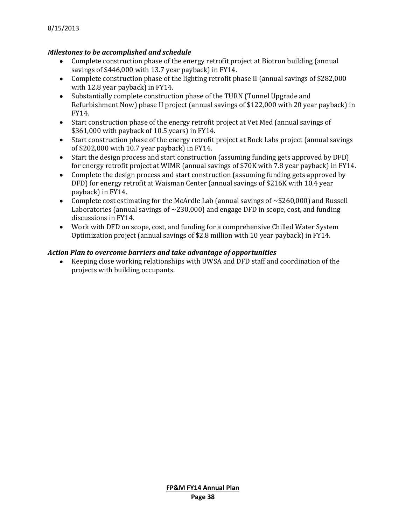# *Milestones to be accomplished and schedule*

- Complete construction phase of the energy retrofit project at Biotron building (annual savings of \$446,000 with 13.7 year payback) in FY14.
- Complete construction phase of the lighting retrofit phase II (annual savings of \$282,000 with 12.8 year payback) in FY14.
- Substantially complete construction phase of the TURN (Tunnel Upgrade and Refurbishment Now) phase II project (annual savings of \$122,000 with 20 year payback) in FY14.
- Start construction phase of the energy retrofit project at Vet Med (annual savings of \$361,000 with payback of 10.5 years) in FY14.
- Start construction phase of the energy retrofit project at Bock Labs project (annual savings of \$202,000 with 10.7 year payback) in FY14.
- Start the design process and start construction (assuming funding gets approved by DFD) for energy retrofit project at WIMR (annual savings of \$70K with 7.8 year payback) in FY14.
- Complete the design process and start construction (assuming funding gets approved by DFD) for energy retrofit at Waisman Center (annual savings of \$216K with 10.4 year payback) in FY14.
- Complete cost estimating for the McArdle Lab (annual savings of ~\$260,000) and Russell Laboratories (annual savings of  $\sim$  230,000) and engage DFD in scope, cost, and funding discussions in FY14.
- Work with DFD on scope, cost, and funding for a comprehensive Chilled Water System Optimization project (annual savings of \$2.8 million with 10 year payback) in FY14.

## *Action Plan to overcome barriers and take advantage of opportunities*

Keeping close working relationships with UWSA and DFD staff and coordination of the projects with building occupants.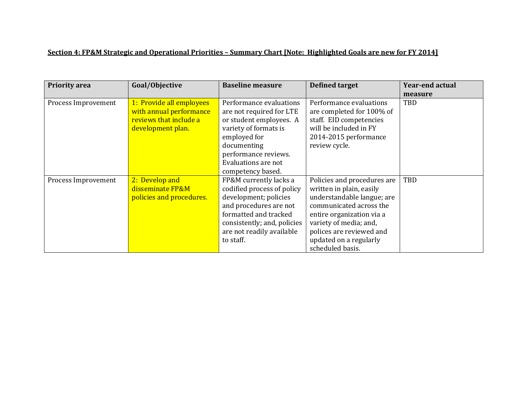# **Section 4: FP&M Strategic and Operational Priorities – Summary Chart [Note: Highlighted Goals are new for FY 2014]**

| <b>Priority area</b> | Goal/Objective           | <b>Baseline measure</b>     | <b>Defined target</b>       | <b>Year-end actual</b> |
|----------------------|--------------------------|-----------------------------|-----------------------------|------------------------|
|                      |                          |                             |                             | measure                |
| Process Improvement  | 1: Provide all employees | Performance evaluations     | Performance evaluations     | TBD                    |
|                      | with annual performance  | are not required for LTE    | are completed for 100% of   |                        |
|                      | reviews that include a   | or student employees. A     | staff. EID competencies     |                        |
|                      | development plan.        | variety of formats is       | will be included in FY      |                        |
|                      |                          | employed for                | 2014-2015 performance       |                        |
|                      |                          | documenting                 | review cycle.               |                        |
|                      |                          | performance reviews.        |                             |                        |
|                      |                          | Evaluations are not         |                             |                        |
|                      |                          | competency based.           |                             |                        |
| Process Improvement  | 2: Develop and           | FP&M currently lacks a      | Policies and procedures are | TBD                    |
|                      | disseminate FP&M         | codified process of policy  | written in plain, easily    |                        |
|                      | policies and procedures. | development; policies       | understandable langue; are  |                        |
|                      |                          | and procedures are not      | communicated across the     |                        |
|                      |                          | formatted and tracked       | entire organization via a   |                        |
|                      |                          | consistently; and, policies | variety of media; and,      |                        |
|                      |                          | are not readily available   | polices are reviewed and    |                        |
|                      |                          | to staff.                   | updated on a regularly      |                        |
|                      |                          |                             | scheduled basis.            |                        |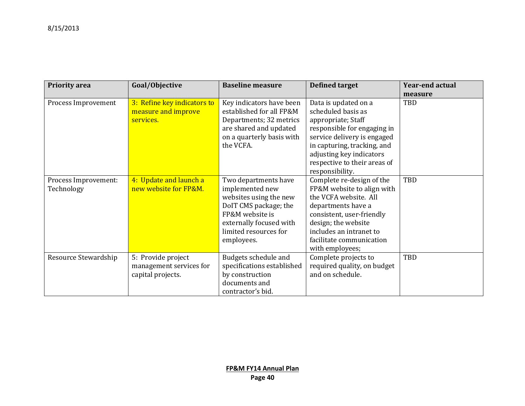| <b>Priority area</b>               | Goal/Objective                                                     | <b>Baseline measure</b>                                                                                                                                                         | <b>Defined target</b>                                                                                                                                                                                                                        | <b>Year-end actual</b> |
|------------------------------------|--------------------------------------------------------------------|---------------------------------------------------------------------------------------------------------------------------------------------------------------------------------|----------------------------------------------------------------------------------------------------------------------------------------------------------------------------------------------------------------------------------------------|------------------------|
|                                    |                                                                    |                                                                                                                                                                                 |                                                                                                                                                                                                                                              | measure                |
| Process Improvement                | 3: Refine key indicators to<br>measure and improve<br>services.    | Key indicators have been<br>established for all FP&M<br>Departments; 32 metrics<br>are shared and updated<br>on a quarterly basis with<br>the VCFA.                             | Data is updated on a<br>scheduled basis as<br>appropriate; Staff<br>responsible for engaging in<br>service delivery is engaged<br>in capturing, tracking, and<br>adjusting key indicators<br>respective to their areas of<br>responsibility. | TBD                    |
| Process Improvement:<br>Technology | 4: Update and launch a<br>new website for FP&M.                    | Two departments have<br>implemented new<br>websites using the new<br>DoIT CMS package; the<br>FP&M website is<br>externally focused with<br>limited resources for<br>employees. | Complete re-design of the<br>FP&M website to align with<br>the VCFA website. All<br>departments have a<br>consistent, user-friendly<br>design; the website<br>includes an intranet to<br>facilitate communication<br>with employees;         | TBD                    |
| Resource Stewardship               | 5: Provide project<br>management services for<br>capital projects. | Budgets schedule and<br>specifications established<br>by construction<br>documents and<br>contractor's bid.                                                                     | Complete projects to<br>required quality, on budget<br>and on schedule.                                                                                                                                                                      | TBD                    |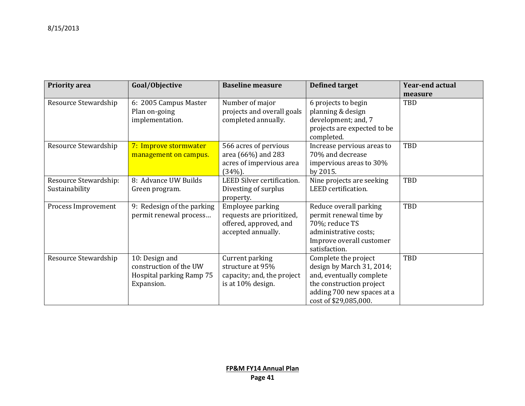| <b>Priority area</b>                    | Goal/Objective                                                                     | <b>Baseline measure</b>                                                                       | <b>Defined target</b>                                                                                                                                            | Year-end actual |
|-----------------------------------------|------------------------------------------------------------------------------------|-----------------------------------------------------------------------------------------------|------------------------------------------------------------------------------------------------------------------------------------------------------------------|-----------------|
|                                         |                                                                                    |                                                                                               |                                                                                                                                                                  | measure         |
| Resource Stewardship                    | 6: 2005 Campus Master<br>Plan on-going<br>implementation.                          | Number of major<br>projects and overall goals<br>completed annually.                          | 6 projects to begin<br>planning & design<br>development; and, 7<br>projects are expected to be<br>completed.                                                     | TBD             |
| Resource Stewardship                    | 7: Improve stormwater<br>management on campus.                                     | 566 acres of pervious<br>area (66%) and 283<br>acres of impervious area<br>$(34%)$ .          | Increase pervious areas to<br>70% and decrease<br>impervious areas to 30%<br>by 2015.                                                                            | TBD             |
| Resource Stewardship:<br>Sustainability | 8: Advance UW Builds<br>Green program.                                             | LEED Silver certification.<br>Divesting of surplus<br>property.                               | Nine projects are seeking<br>LEED certification.                                                                                                                 | TBD             |
| Process Improvement                     | Redesign of the parking<br>9:<br>permit renewal process                            | Employee parking<br>requests are prioritized,<br>offered, approved, and<br>accepted annually. | Reduce overall parking<br>permit renewal time by<br>70%; reduce TS<br>administrative costs;<br>Improve overall customer<br>satisfaction.                         | TBD             |
| Resource Stewardship                    | 10: Design and<br>construction of the UW<br>Hospital parking Ramp 75<br>Expansion. | Current parking<br>structure at 95%<br>capacity; and, the project<br>is at 10% design.        | Complete the project<br>design by March 31, 2014;<br>and, eventually complete<br>the construction project<br>adding 700 new spaces at a<br>cost of \$29,085,000. | TBD             |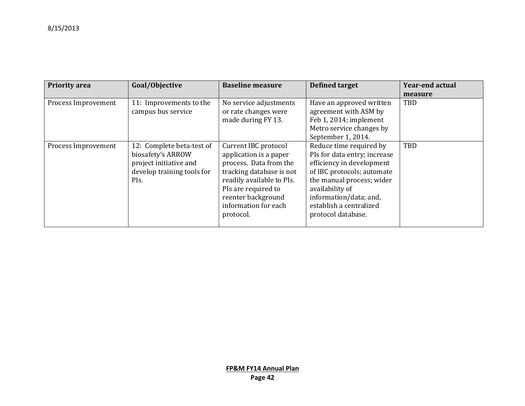| <b>Priority area</b> | Goal/Objective                                                                                                 | <b>Baseline measure</b>                                                                                                                                                                                             | <b>Defined target</b>                                                                                                                                                                                                                         | <b>Year-end actual</b> |
|----------------------|----------------------------------------------------------------------------------------------------------------|---------------------------------------------------------------------------------------------------------------------------------------------------------------------------------------------------------------------|-----------------------------------------------------------------------------------------------------------------------------------------------------------------------------------------------------------------------------------------------|------------------------|
|                      |                                                                                                                |                                                                                                                                                                                                                     |                                                                                                                                                                                                                                               | measure                |
| Process Improvement  | 11: Improvements to the<br>campus bus service                                                                  | No service adjustments<br>or rate changes were<br>made during FY 13.                                                                                                                                                | Have an approved written<br>agreement with ASM by<br>Feb 1, 2014; implement<br>Metro service changes by<br>September 1, 2014.                                                                                                                 | <b>TBD</b>             |
| Process Improvement  | 12: Complete beta-test of<br>biosafety's ARROW<br>project initiative and<br>develop training tools for<br>PIs. | Current IBC protocol<br>application is a paper<br>process. Data from the<br>tracking database is not<br>readily available to PIs.<br>PIs are required to<br>reenter background<br>information for each<br>protocol. | Reduce time required by<br>PIs for data entry; increase<br>efficiency in development<br>of IBC protocols; automate<br>the manual process; wider<br>availability of<br>information/data; and,<br>establish a centralized<br>protocol database. | TBD                    |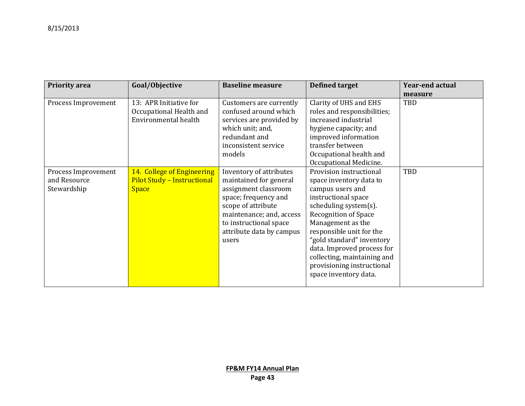| <b>Priority area</b> | Goal/Objective                     | <b>Baseline measure</b>  | <b>Defined target</b>       | <b>Year-end actual</b> |
|----------------------|------------------------------------|--------------------------|-----------------------------|------------------------|
|                      |                                    |                          |                             | measure                |
| Process Improvement  | 13: APR Initiative for             | Customers are currently  | Clarity of UHS and EHS      | TBD                    |
|                      | Occupational Health and            | confused around which    | roles and responsibilities; |                        |
|                      | Environmental health               | services are provided by | increased industrial        |                        |
|                      |                                    | which unit; and,         | hygiene capacity; and       |                        |
|                      |                                    | redundant and            | improved information        |                        |
|                      |                                    | inconsistent service     | transfer between            |                        |
|                      |                                    | models                   | Occupational health and     |                        |
|                      |                                    |                          | Occupational Medicine.      |                        |
| Process Improvement  | 14. College of Engineering         | Inventory of attributes  | Provision instructional     | TBD                    |
| and Resource         | <b>Pilot Study - Instructional</b> | maintained for general   | space inventory data to     |                        |
| Stewardship          | <b>Space</b>                       | assignment classroom     | campus users and            |                        |
|                      |                                    | space; frequency and     | instructional space         |                        |
|                      |                                    | scope of attribute       | scheduling system(s).       |                        |
|                      |                                    | maintenance; and, access | <b>Recognition of Space</b> |                        |
|                      |                                    | to instructional space   | Management as the           |                        |
|                      |                                    | attribute data by campus | responsible unit for the    |                        |
|                      |                                    | users                    | "gold standard" inventory   |                        |
|                      |                                    |                          | data. Improved process for  |                        |
|                      |                                    |                          | collecting, maintaining and |                        |
|                      |                                    |                          | provisioning instructional  |                        |
|                      |                                    |                          | space inventory data.       |                        |
|                      |                                    |                          |                             |                        |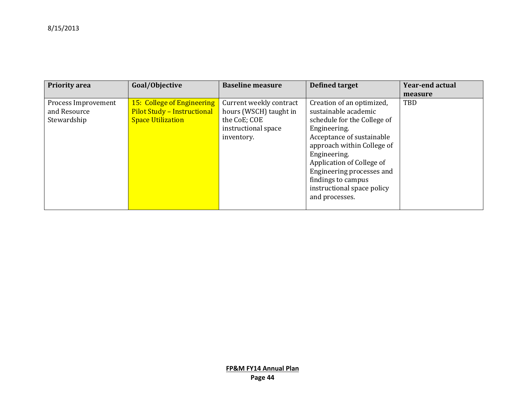| <b>Priority area</b> | Goal/Objective                     | <b>Baseline measure</b> | Defined target              | <b>Year-end actual</b> |
|----------------------|------------------------------------|-------------------------|-----------------------------|------------------------|
|                      |                                    |                         |                             | measure                |
| Process Improvement  | 15: College of Engineering         | Current weekly contract | Creation of an optimized,   | <b>TBD</b>             |
| and Resource         | <b>Pilot Study - Instructional</b> | hours (WSCH) taught in  | sustainable academic        |                        |
| Stewardship          | <b>Space Utilization</b>           | the CoE; COE            | schedule for the College of |                        |
|                      |                                    | instructional space     | Engineering.                |                        |
|                      |                                    | inventory.              | Acceptance of sustainable   |                        |
|                      |                                    |                         | approach within College of  |                        |
|                      |                                    |                         | Engineering.                |                        |
|                      |                                    |                         | Application of College of   |                        |
|                      |                                    |                         | Engineering processes and   |                        |
|                      |                                    |                         | findings to campus          |                        |
|                      |                                    |                         | instructional space policy  |                        |
|                      |                                    |                         | and processes.              |                        |
|                      |                                    |                         |                             |                        |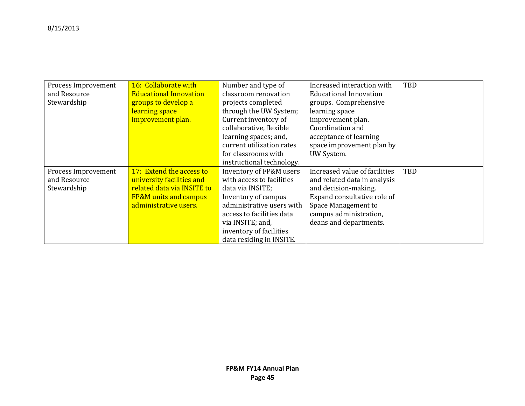| Process Improvement | 16: Collaborate with             | Number and type of        | Increased interaction with    | <b>TBD</b> |
|---------------------|----------------------------------|---------------------------|-------------------------------|------------|
| and Resource        | <b>Educational Innovation</b>    | classroom renovation      | <b>Educational Innovation</b> |            |
| Stewardship         | groups to develop a              | projects completed        | groups. Comprehensive         |            |
|                     | learning space                   | through the UW System;    | learning space                |            |
|                     | improvement plan.                | Current inventory of      | improvement plan.             |            |
|                     |                                  | collaborative, flexible   | Coordination and              |            |
|                     |                                  | learning spaces; and,     | acceptance of learning        |            |
|                     |                                  | current utilization rates | space improvement plan by     |            |
|                     |                                  | for classrooms with       | UW System.                    |            |
|                     |                                  | instructional technology. |                               |            |
| Process Improvement | 17: Extend the access to         | Inventory of FP&M users   | Increased value of facilities | <b>TBD</b> |
| and Resource        | university facilities and        | with access to facilities | and related data in analysis  |            |
| Stewardship         | related data via INSITE to       | data via INSITE;          | and decision-making.          |            |
|                     | <b>FP&amp;M</b> units and campus | Inventory of campus       | Expand consultative role of   |            |
|                     | administrative users.            | administrative users with | Space Management to           |            |
|                     |                                  | access to facilities data | campus administration,        |            |
|                     |                                  | via INSITE; and,          | deans and departments.        |            |
|                     |                                  | inventory of facilities   |                               |            |
|                     |                                  | data residing in INSITE.  |                               |            |